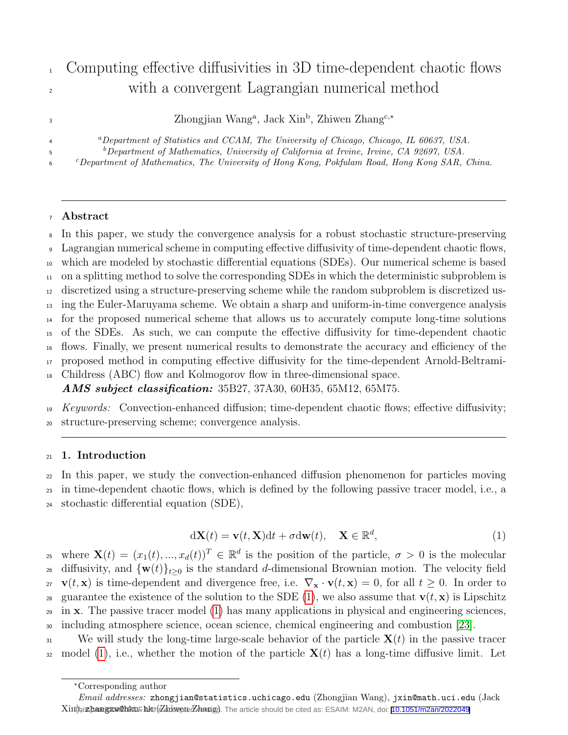# <sup>1</sup> Computing effective diffusivities in 3D time-dependent chaotic flows <sup>2</sup> with a convergent Lagrangian numerical method

Zhongjian Wang<sup>a</sup>, Jack Xin<sup>b</sup>, Zhiwen Zhang<sup>c,∗</sup>

<sup>a</sup>Department of Statistics and CCAM, The University of Chicago, Chicago, IL 60637, USA.

 $b$ Department of Mathematics, University of California at Irvine, Irvine, CA 92697, USA.

 $c$ Department of Mathematics, The University of Hong Kong, Pokfulam Road, Hong Kong SAR, China.

# <sup>7</sup> Abstract

3

4

5

6

 In this paper, we study the convergence analysis for a robust stochastic structure-preserving Lagrangian numerical scheme in computing effective diffusivity of time-dependent chaotic flows, which are modeled by stochastic differential equations (SDEs). Our numerical scheme is based on a splitting method to solve the corresponding SDEs in which the deterministic subproblem is discretized using a structure-preserving scheme while the random subproblem is discretized us- ing the Euler-Maruyama scheme. We obtain a sharp and uniform-in-time convergence analysis for the proposed numerical scheme that allows us to accurately compute long-time solutions of the SDEs. As such, we can compute the effective diffusivity for time-dependent chaotic flows. Finally, we present numerical results to demonstrate the accuracy and efficiency of the proposed method in computing effective diffusivity for the time-dependent Arnold-Beltrami-Childress (ABC) flow and Kolmogorov flow in three-dimensional space.

*AMS subject classification:* 35B27, 37A30, 60H35, 65M12, 65M75.

19 Keywords: Convection-enhanced diffusion; time-dependent chaotic flows; effective diffusivity; <sup>20</sup> structure-preserving scheme; convergence analysis.

# <sup>21</sup> 1. Introduction

<sup>22</sup> In this paper, we study the convection-enhanced diffusion phenomenon for particles moving <sup>23</sup> in time-dependent chaotic flows, which is defined by the following passive tracer model, i.e., a <sup>24</sup> stochastic differential equation (SDE),

<span id="page-0-0"></span>
$$
d\mathbf{X}(t) = \mathbf{v}(t, \mathbf{X})dt + \sigma d\mathbf{w}(t), \quad \mathbf{X} \in \mathbb{R}^d,
$$
\n(1)

<sup>25</sup> where  $\mathbf{X}(t) = (x_1(t), ..., x_d(t))^T \in \mathbb{R}^d$  is the position of the particle,  $\sigma > 0$  is the molecular <sup>26</sup> diffusivity, and  $\{w(t)\}_{t>0}$  is the standard d-dimensional Brownian motion. The velocity field  $v(t, x)$  is time-dependent and divergence free, i.e.  $\nabla_x \cdot v(t, x) = 0$ , for all  $t \geq 0$ . In order to 28 guarantee the existence of the solution to the SDE [\(1\)](#page-0-0), we also assume that  $\mathbf{v}(t, \mathbf{x})$  is Lipschitz  $_{29}$  in **x**. The passive tracer model [\(1\)](#page-0-0) has many applications in physical and engineering sciences, <sup>30</sup> including atmosphere science, ocean science, chemical engineering and combustion [\[23\]](#page-28-0).

 $\mathbf{S}_3$  We will study the long-time large-scale behavior of the particle  $\mathbf{X}(t)$  in the passive tracer 32 model [\(1\)](#page-0-0), i.e., whether the motion of the particle  $X(t)$  has a long-time diffusive limit. Let

<sup>∗</sup>Corresponding author

Email addresses: zhongjian@statistics.uchicago.edu (Zhongjian Wang), jxin@math.uci.edu (Jack Xini), iz hangzw@hkuF hkir (Zhiovere Zhang). The article should be cited as: ESAIM: M2AN, doi: [10.1051/m2an/2022049](https://doi.org/10.1051/m2an/2022049)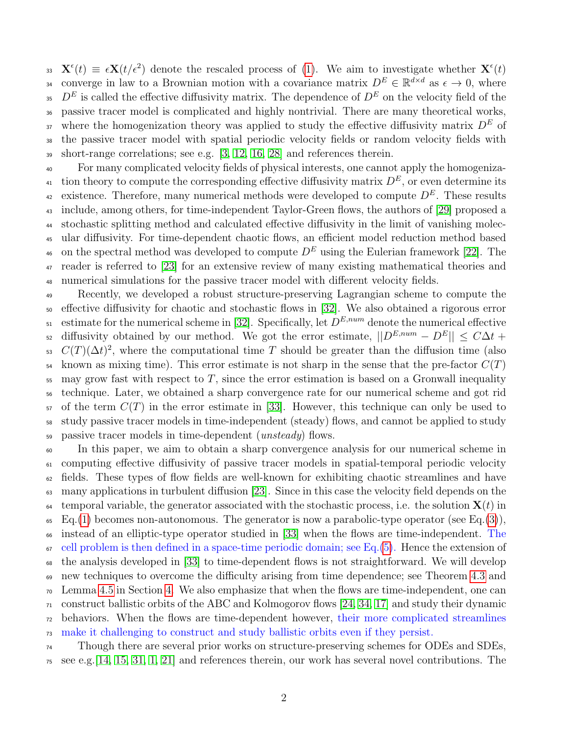33  $\mathbf{X}^{\epsilon}(t) \equiv \epsilon \mathbf{X}(t/\epsilon^2)$  denote the rescaled process of [\(1\)](#page-0-0). We aim to investigate whether  $\mathbf{X}^{\epsilon}(t)$ 34 converge in law to a Brownian motion with a covariance matrix  $D^E \in \mathbb{R}^{d \times d}$  as  $\epsilon \to 0$ , where <sup>35</sup> D<sup>E</sup> is called the effective diffusivity matrix. The dependence of  $D<sup>E</sup>$  on the velocity field of the passive tracer model is complicated and highly nontrivial. There are many theoretical works, <sup>37</sup> where the homogenization theory was applied to study the effective diffusivity matrix  $D<sup>E</sup>$  of the passive tracer model with spatial periodic velocity fields or random velocity fields with short-range correlations; see e.g. [\[3,](#page-27-0) [12,](#page-27-1) [16,](#page-27-2) [28\]](#page-28-1) and references therein.

 For many complicated velocity fields of physical interests, one cannot apply the homogeniza-<sup>41</sup> tion theory to compute the corresponding effective diffusivity matrix  $D<sup>E</sup>$ , or even determine its existence. Therefore, many numerical methods were developed to compute  $D<sup>E</sup>$ . These results include, among others, for time-independent Taylor-Green flows, the authors of [\[29\]](#page-28-2) proposed a stochastic splitting method and calculated effective diffusivity in the limit of vanishing molec- ular diffusivity. For time-dependent chaotic flows, an efficient model reduction method based <sup>46</sup> on the spectral method was developed to compute  $D<sup>E</sup>$  using the Eulerian framework [\[22\]](#page-28-3). The reader is referred to [\[23\]](#page-28-0) for an extensive review of many existing mathematical theories and numerical simulations for the passive tracer model with different velocity fields.

 Recently, we developed a robust structure-preserving Lagrangian scheme to compute the effective diffusivity for chaotic and stochastic flows in [\[32\]](#page-29-0). We also obtained a rigorous error  $\epsilon_{51}$  estimate for the numerical scheme in [\[32\]](#page-29-0). Specifically, let  $D^{E,num}$  denote the numerical effective <sup>52</sup> diffusivity obtained by our method. We got the error estimate,  $||D^{E,num} - D^E|| \leq C\Delta t +$  $C(T)(\Delta t)^2$ , where the computational time T should be greater than the diffusion time (also known as mixing time). This error estimate is not sharp in the sense that the pre-factor  $C(T)$  may grow fast with respect to T, since the error estimation is based on a Gronwall inequality technique. Later, we obtained a sharp convergence rate for our numerical scheme and got rid of the term  $C(T)$  in the error estimate in [\[33\]](#page-29-1). However, this technique can only be used to study passive tracer models in time-independent (steady) flows, and cannot be applied to study passive tracer models in time-dependent (unsteady) flows.

 In this paper, we aim to obtain a sharp convergence analysis for our numerical scheme in computing effective diffusivity of passive tracer models in spatial-temporal periodic velocity fields. These types of flow fields are well-known for exhibiting chaotic streamlines and have many applications in turbulent diffusion [\[23\]](#page-28-0). Since in this case the velocity field depends on the  $\epsilon_{\rm 64}$  temporal variable, the generator associated with the stochastic process, i.e. the solution  ${\bf X}(t)$  in Eq.[\(1\)](#page-0-0) becomes non-autonomous. The generator is now a parabolic-type operator (see Eq.[\(3\)](#page-3-0)), instead of an elliptic-type operator studied in [\[33\]](#page-29-1) when the flows are time-independent. The  $67 \text{ cell problem is then defined in a space-time periodic domain; see Eq.(5). Hence the extension of$  $67 \text{ cell problem is then defined in a space-time periodic domain; see Eq.(5). Hence the extension of$  $67 \text{ cell problem is then defined in a space-time periodic domain; see Eq.(5). Hence the extension of$  the analysis developed in [\[33\]](#page-29-1) to time-dependent flows is not straightforward. We will develop new techniques to overcome the difficulty arising from time dependence; see Theorem [4.3](#page-10-0) and Lemma [4.5](#page-12-0) in Section [4.](#page-8-0) We also emphasize that when the flows are time-independent, one can  $_{71}$  construct ballistic orbits of the ABC and Kolmogorov flows [\[24,](#page-28-4) [34,](#page-29-2) [17\]](#page-28-5) and study their dynamic behaviors. When the flows are time-dependent however, their more complicated streamlines make it challenging to construct and study ballistic orbits even if they persist.

 Though there are several prior works on structure-preserving schemes for ODEs and SDEs,  $\tau$  see e.g. [\[14,](#page-27-3) [15,](#page-27-4) [31,](#page-28-6) [1,](#page-26-0) [21\]](#page-28-7) and references therein, our work has several novel contributions. The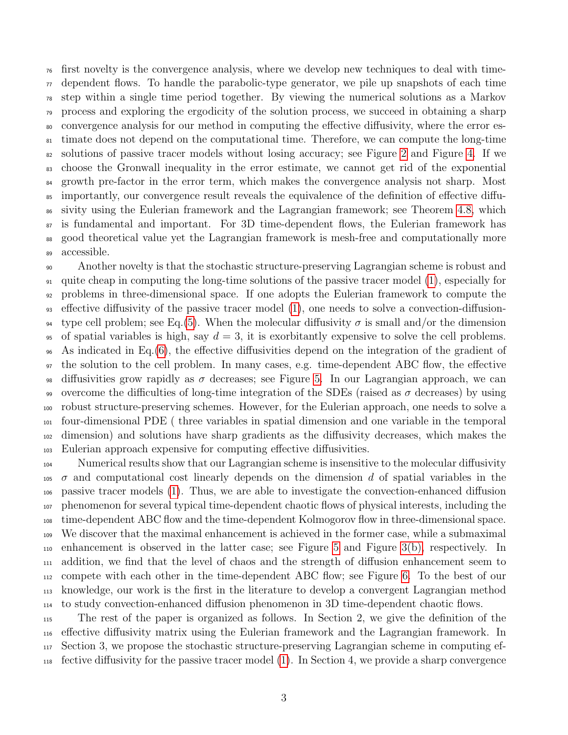first novelty is the convergence analysis, where we develop new techniques to deal with time- $\pi$  dependent flows. To handle the parabolic-type generator, we pile up snapshots of each time step within a single time period together. By viewing the numerical solutions as a Markov process and exploring the ergodicity of the solution process, we succeed in obtaining a sharp convergence analysis for our method in computing the effective diffusivity, where the error es- timate does not depend on the computational time. Therefore, we can compute the long-time solutions of passive tracer models without losing accuracy; see Figure [2](#page-22-0) and Figure [4.](#page-24-0) If we choose the Gronwall inequality in the error estimate, we cannot get rid of the exponential <sup>84</sup> growth pre-factor in the error term, which makes the convergence analysis not sharp. Most importantly, our convergence result reveals the equivalence of the definition of effective diffu- sivity using the Eulerian framework and the Lagrangian framework; see Theorem [4.8,](#page-16-0) which is fundamental and important. For 3D time-dependent flows, the Eulerian framework has good theoretical value yet the Lagrangian framework is mesh-free and computationally more accessible.

 Another novelty is that the stochastic structure-preserving Lagrangian scheme is robust and quite cheap in computing the long-time solutions of the passive tracer model [\(1\)](#page-0-0), especially for problems in three-dimensional space. If one adopts the Eulerian framework to compute the effective diffusivity of the passive tracer model [\(1\)](#page-0-0), one needs to solve a convection-diffusion-<sup>94</sup> type cell problem; see Eq.[\(5\)](#page-3-1). When the molecular diffusivity  $\sigma$  is small and/or the dimension 95 of spatial variables is high, say  $d = 3$ , it is exorbitantly expensive to solve the cell problems. As indicated in Eq.[\(6\)](#page-4-0), the effective diffusivities depend on the integration of the gradient of the solution to the cell problem. In many cases, e.g. time-dependent ABC flow, the effective <sup>98</sup> diffusivities grow rapidly as  $\sigma$  decreases; see Figure [5.](#page-24-1) In our Lagrangian approach, we can 99 overcome the difficulties of long-time integration of the SDEs (raised as  $\sigma$  decreases) by using robust structure-preserving schemes. However, for the Eulerian approach, one needs to solve a four-dimensional PDE ( three variables in spatial dimension and one variable in the temporal dimension) and solutions have sharp gradients as the diffusivity decreases, which makes the Eulerian approach expensive for computing effective diffusivities.

 Numerical results show that our Lagrangian scheme is insensitive to the molecular diffusivity  $105\sigma$  and computational cost linearly depends on the dimension d of spatial variables in the passive tracer models [\(1\)](#page-0-0). Thus, we are able to investigate the convection-enhanced diffusion phenomenon for several typical time-dependent chaotic flows of physical interests, including the time-dependent ABC flow and the time-dependent Kolmogorov flow in three-dimensional space. We discover that the maximal enhancement is achieved in the former case, while a submaximal enhancement is observed in the latter case; see Figure [5](#page-24-1) and Figure [3\(b\),](#page-22-1) respectively. In addition, we find that the level of chaos and the strength of diffusion enhancement seem to compete with each other in the time-dependent ABC flow; see Figure [6.](#page-25-0) To the best of our knowledge, our work is the first in the literature to develop a convergent Lagrangian method to study convection-enhanced diffusion phenomenon in 3D time-dependent chaotic flows.

 The rest of the paper is organized as follows. In Section 2, we give the definition of the effective diffusivity matrix using the Eulerian framework and the Lagrangian framework. In Section 3, we propose the stochastic structure-preserving Lagrangian scheme in computing ef-fective diffusivity for the passive tracer model [\(1\)](#page-0-0). In Section 4, we provide a sharp convergence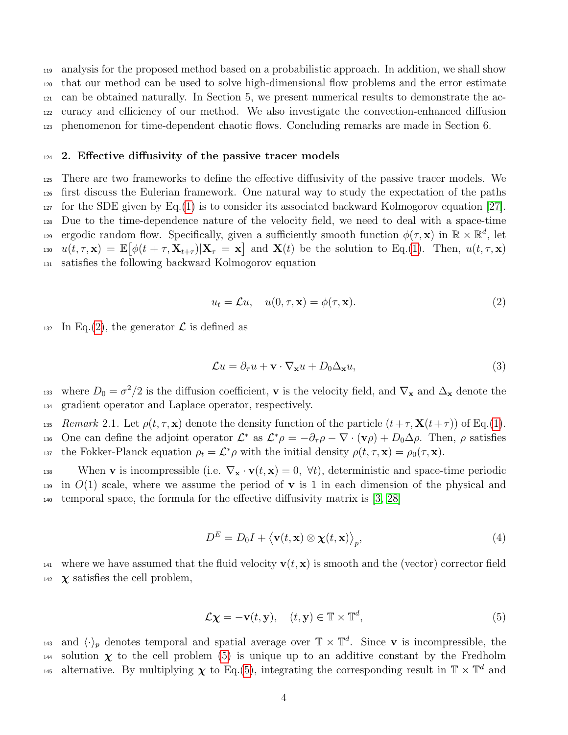analysis for the proposed method based on a probabilistic approach. In addition, we shall show that our method can be used to solve high-dimensional flow problems and the error estimate can be obtained naturally. In Section 5, we present numerical results to demonstrate the ac- curacy and efficiency of our method. We also investigate the convection-enhanced diffusion phenomenon for time-dependent chaotic flows. Concluding remarks are made in Section 6.

#### <sup>124</sup> 2. Effective diffusivity of the passive tracer models

 There are two frameworks to define the effective diffusivity of the passive tracer models. We first discuss the Eulerian framework. One natural way to study the expectation of the paths  $127$  for the SDE given by Eq.[\(1\)](#page-0-0) is to consider its associated backward Kolmogorov equation [\[27\]](#page-28-8). Due to the time-dependence nature of the velocity field, we need to deal with a space-time ergodic random flow. Specifically, given a sufficiently smooth function  $\phi(\tau, \mathbf{x})$  in  $\mathbb{R} \times \mathbb{R}^d$ , let  $u(t, \tau, \mathbf{x}) = \mathbb{E}[\phi(t + \tau, \mathbf{X}_{t+\tau}) | \mathbf{X}_{\tau} = \mathbf{x}]$  and  $\mathbf{X}(t)$  be the solution to Eq.[\(1\)](#page-0-0). Then,  $u(t, \tau, \mathbf{x})$ satisfies the following backward Kolmogorov equation

<span id="page-3-2"></span>
$$
u_t = \mathcal{L}u, \quad u(0, \tau, \mathbf{x}) = \phi(\tau, \mathbf{x}). \tag{2}
$$

132 In Eq.[\(2\)](#page-3-2), the generator  $\mathcal L$  is defined as

<span id="page-3-0"></span>
$$
\mathcal{L}u = \partial_{\tau}u + \mathbf{v} \cdot \nabla_{\mathbf{x}}u + D_0\Delta_{\mathbf{x}}u,\tag{3}
$$

<sup>133</sup> where  $D_0 = \sigma^2/2$  is the diffusion coefficient, **v** is the velocity field, and  $\nabla_x$  and  $\Delta_x$  denote the <sup>134</sup> gradient operator and Laplace operator, respectively.

135 Remark 2.1. Let  $\rho(t, \tau, \mathbf{x})$  denote the density function of the particle  $(t+\tau, \mathbf{X}(t+\tau))$  of Eq.[\(1\)](#page-0-0). 136 One can define the adjoint operator  $\mathcal{L}^*$  as  $\mathcal{L}^*\rho = -\partial_\tau \rho - \nabla \cdot (\mathbf{v}\rho) + D_0 \Delta \rho$ . Then,  $\rho$  satisfies 137 the Fokker-Planck equation  $\rho_t = \mathcal{L}^* \rho$  with the initial density  $\rho(t, \tau, \mathbf{x}) = \rho_0(\tau, \mathbf{x})$ .

138 When **v** is incompressible (i.e.  $\nabla_{\mathbf{x}} \cdot \mathbf{v}(t, \mathbf{x}) = 0$ ,  $\nabla t$ ), deterministic and space-time periodic  $_{139}$  in  $O(1)$  scale, where we assume the period of **v** is 1 in each dimension of the physical and <sup>140</sup> temporal space, the formula for the effective diffusivity matrix is [\[3,](#page-27-0) [28\]](#page-28-1)

<span id="page-3-3"></span>
$$
D^{E} = D_{0}I + \langle \mathbf{v}(t, \mathbf{x}) \otimes \chi(t, \mathbf{x}) \rangle_{p}, \tag{4}
$$

<sup>141</sup> where we have assumed that the fluid velocity  $\mathbf{v}(t, \mathbf{x})$  is smooth and the (vector) corrector field <sup>142</sup>  $\chi$  satisfies the cell problem,

<span id="page-3-1"></span>
$$
\mathcal{L}\mathbf{\chi} = -\mathbf{v}(t, \mathbf{y}), \quad (t, \mathbf{y}) \in \mathbb{T} \times \mathbb{T}^d,
$$
\n(5)

and  $\langle \cdot \rangle_p$  denotes temporal and spatial average over  $\mathbb{T} \times \mathbb{T}^d$ . Since **v** is incompressible, the 144 solution  $\chi$  to the cell problem [\(5\)](#page-3-1) is unique up to an additive constant by the Fredholm alternative. By multiplying  $\chi$  to Eq.[\(5\)](#page-3-1), integrating the corresponding result in  $\mathbb{T} \times \mathbb{T}^d$  and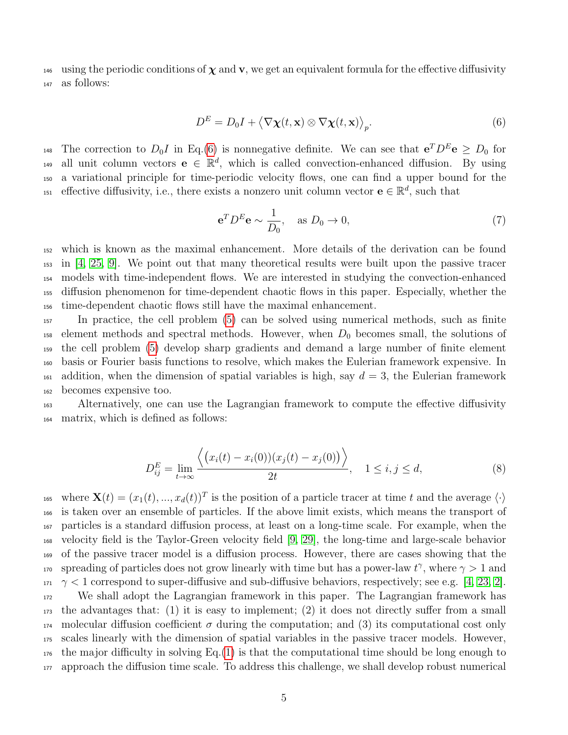146 using the periodic conditions of  $\chi$  and v, we get an equivalent formula for the effective diffusivity <sup>147</sup> as follows:

$$
D^{E} = D_{0}I + \langle \nabla \chi(t, \mathbf{x}) \otimes \nabla \chi(t, \mathbf{x}) \rangle_{p}.
$$
\n(6)

<sup>148</sup> The correction to  $D_0I$  in Eq.[\(6\)](#page-4-0) is nonnegative definite. We can see that  $e^T D^E e \ge D_0$  for 149 all unit column vectors  $e \in \mathbb{R}^d$ , which is called convection-enhanced diffusion. By using <sup>150</sup> a variational principle for time-periodic velocity flows, one can find a upper bound for the <sup>151</sup> effective diffusivity, i.e., there exists a nonzero unit column vector  $e \in \mathbb{R}^d$ , such that

<span id="page-4-2"></span><span id="page-4-0"></span>
$$
\mathbf{e}^T D^E \mathbf{e} \sim \frac{1}{D_0}, \quad \text{as } D_0 \to 0,
$$
 (7)

 which is known as the maximal enhancement. More details of the derivation can be found in [\[4,](#page-27-5) [25,](#page-28-9) [9\]](#page-27-6). We point out that many theoretical results were built upon the passive tracer models with time-independent flows. We are interested in studying the convection-enhanced diffusion phenomenon for time-dependent chaotic flows in this paper. Especially, whether the time-dependent chaotic flows still have the maximal enhancement.

 In practice, the cell problem [\(5\)](#page-3-1) can be solved using numerical methods, such as finite  $_{158}$  element methods and spectral methods. However, when  $D_0$  becomes small, the solutions of the cell problem [\(5\)](#page-3-1) develop sharp gradients and demand a large number of finite element basis or Fourier basis functions to resolve, which makes the Eulerian framework expensive. In 161 addition, when the dimension of spatial variables is high, say  $d = 3$ , the Eulerian framework becomes expensive too.

<sup>163</sup> Alternatively, one can use the Lagrangian framework to compute the effective diffusivity <sup>164</sup> matrix, which is defined as follows:

<span id="page-4-1"></span>
$$
D_{ij}^{E} = \lim_{t \to \infty} \frac{\langle (x_i(t) - x_i(0))(x_j(t) - x_j(0)) \rangle}{2t}, \quad 1 \le i, j \le d,
$$
 (8)

<sup>165</sup> where  $\mathbf{X}(t) = (x_1(t), ..., x_d(t))^T$  is the position of a particle tracer at time t and the average  $\langle \cdot \rangle$  is taken over an ensemble of particles. If the above limit exists, which means the transport of particles is a standard diffusion process, at least on a long-time scale. For example, when the velocity field is the Taylor-Green velocity field [\[9,](#page-27-6) [29\]](#page-28-2), the long-time and large-scale behavior of the passive tracer model is a diffusion process. However, there are cases showing that the 170 spreading of particles does not grow linearly with time but has a power-law  $t^{\gamma}$ , where  $\gamma > 1$  and  $171 \gamma < 1$  correspond to super-diffusive and sub-diffusive behaviors, respectively; see e.g. [\[4,](#page-27-5) [23,](#page-28-0) [2\]](#page-27-7). We shall adopt the Lagrangian framework in this paper. The Lagrangian framework has the advantages that: (1) it is easy to implement; (2) it does not directly suffer from a small molecular diffusion coefficient σ during the computation; and (3) its computational cost only scales linearly with the dimension of spatial variables in the passive tracer models. However, the major difficulty in solving Eq.[\(1\)](#page-0-0) is that the computational time should be long enough to approach the diffusion time scale. To address this challenge, we shall develop robust numerical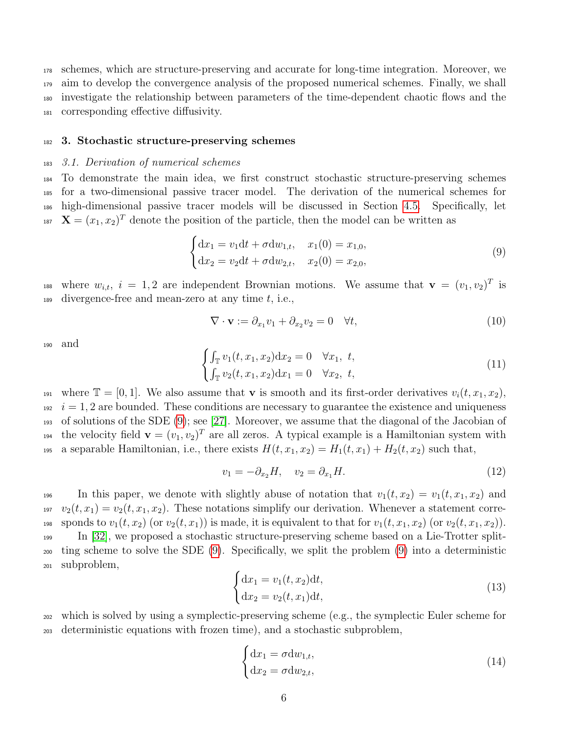schemes, which are structure-preserving and accurate for long-time integration. Moreover, we aim to develop the convergence analysis of the proposed numerical schemes. Finally, we shall investigate the relationship between parameters of the time-dependent chaotic flows and the corresponding effective diffusivity.

#### <sup>182</sup> 3. Stochastic structure-preserving schemes

#### <span id="page-5-2"></span><sup>183</sup> 3.1. Derivation of numerical schemes

 To demonstrate the main idea, we first construct stochastic structure-preserving schemes for a two-dimensional passive tracer model. The derivation of the numerical schemes for high-dimensional passive tracer models will be discussed in Section [4.5.](#page-18-0) Specifically, let <sup>187</sup>  $\mathbf{X} = (x_1, x_2)^T$  denote the position of the particle, then the model can be written as

$$
\begin{cases} dx_1 = v_1 dt + \sigma dw_{1,t}, & x_1(0) = x_{1,0}, \\ dx_2 = v_2 dt + \sigma dw_{2,t}, & x_2(0) = x_{2,0}, \end{cases}
$$
\n(9)

<sup>188</sup> where  $w_{i,t}$ ,  $i = 1, 2$  are independent Brownian motions. We assume that  $\mathbf{v} = (v_1, v_2)^T$  is 189 divergence-free and mean-zero at any time  $t$ , i.e.,

<span id="page-5-0"></span>
$$
\nabla \cdot \mathbf{v} := \partial_{x_1} v_1 + \partial_{x_2} v_2 = 0 \quad \forall t,
$$
\n(10)

<sup>190</sup> and

$$
\begin{cases}\n\int_{\mathbb{T}} v_1(t, x_1, x_2) dx_2 = 0 & \forall x_1, t, \\
\int_{\mathbb{T}} v_2(t, x_1, x_2) dx_1 = 0 & \forall x_2, t,\n\end{cases}
$$
\n(11)

191 where  $\mathbb{T} = [0, 1]$ . We also assume that **v** is smooth and its first-order derivatives  $v_i(t, x_1, x_2)$ ,  $i = 1, 2$  are bounded. These conditions are necessary to guarantee the existence and uniqueness <sup>193</sup> of solutions of the SDE [\(9\)](#page-5-0); see [\[27\]](#page-28-8). Moreover, we assume that the diagonal of the Jacobian of <sup>194</sup> the velocity field  $\mathbf{v} = (v_1, v_2)^T$  are all zeros. A typical example is a Hamiltonian system with 195 a separable Hamiltonian, i.e., there exists  $H(t, x_1, x_2) = H_1(t, x_1) + H_2(t, x_2)$  such that,

$$
v_1 = -\partial_{x_2} H, \quad v_2 = \partial_{x_1} H. \tag{12}
$$

196 In this paper, we denote with slightly abuse of notation that  $v_1(t, x_2) = v_1(t, x_1, x_2)$  and  $v_2(t, x_1) = v_2(t, x_1, x_2)$ . These notations simplify our derivation. Whenever a statement corre-198 sponds to  $v_1(t, x_2)$  (or  $v_2(t, x_1)$ ) is made, it is equivalent to that for  $v_1(t, x_1, x_2)$  (or  $v_2(t, x_1, x_2)$ ). <sup>199</sup> In [\[32\]](#page-29-0), we proposed a stochastic structure-preserving scheme based on a Lie-Trotter split-<sup>200</sup> ting scheme to solve the SDE [\(9\)](#page-5-0). Specifically, we split the problem [\(9\)](#page-5-0) into a deterministic <sup>201</sup> subproblem,

$$
\begin{cases} \mathrm{d}x_1 = v_1(t, x_2) \mathrm{d}t, \\ \mathrm{d}x_2 = v_2(t, x_1) \mathrm{d}t, \end{cases}
$$
\n(13)

<span id="page-5-3"></span><sup>202</sup> which is solved by using a symplectic-preserving scheme (e.g., the symplectic Euler scheme for <sup>203</sup> deterministic equations with frozen time), and a stochastic subproblem,

<span id="page-5-1"></span>
$$
\begin{cases} dx_1 = \sigma dw_{1,t}, \\ dx_2 = \sigma dw_{2,t}, \end{cases}
$$
 (14)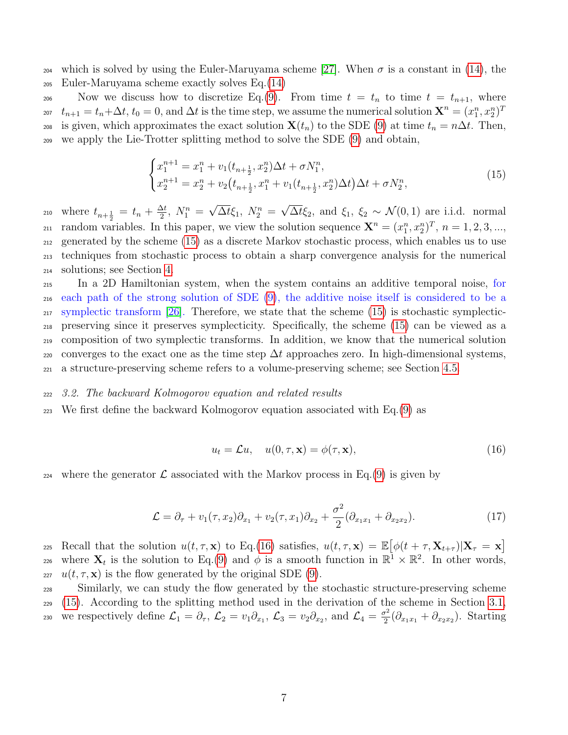204 which is solved by using the Euler-Maruyama scheme [\[27\]](#page-28-8). When  $\sigma$  is a constant in [\(14\)](#page-5-1), the <sup>205</sup> Euler-Maruyama scheme exactly solves Eq.[\(14\)](#page-5-1)

206 Now we discuss how to discretize Eq.[\(9\)](#page-5-0). From time  $t = t_n$  to time  $t = t_{n+1}$ , where  $t_{n+1} = t_n + \Delta t$ ,  $t_0 = 0$ , and  $\Delta t$  is the time step, we assume the numerical solution  $\mathbf{X}^n = (x_1^n, x_2^n)^T$ 207 208 is given, which approximates the exact solution  $\mathbf{X}(t_n)$  to the SDE [\(9\)](#page-5-0) at time  $t_n = n\Delta t$ . Then, <sup>209</sup> we apply the Lie-Trotter splitting method to solve the SDE [\(9\)](#page-5-0) and obtain,

<span id="page-6-0"></span>
$$
\begin{cases}\nx_1^{n+1} = x_1^n + v_1(t_{n+\frac{1}{2}}, x_2^n) \Delta t + \sigma N_1^n, \\
x_2^{n+1} = x_2^n + v_2(t_{n+\frac{1}{2}}, x_1^n + v_1(t_{n+\frac{1}{2}}, x_2^n) \Delta t) \Delta t + \sigma N_2^n,\n\end{cases} \tag{15}
$$

where  $t_{n+\frac{1}{2}} = t_n + \frac{\Delta t}{2}$  $\frac{\Delta t}{2}$ ,  $N_1^n =$ √  $\overline{\Delta t} \xi_1$ ,  $N_2^n =$ √ 210 where  $t_{n+\frac{1}{2}} = t_n + \frac{\Delta t}{2}$ ,  $N_1^n = \sqrt{\Delta t} \xi_1$ ,  $N_2^n = \sqrt{\Delta t} \xi_2$ , and  $\xi_1$ ,  $\xi_2 \sim \mathcal{N}(0, 1)$  are i.i.d. normal 211 random variables. In this paper, we view the solution sequence  $\mathbf{X}^n = (x_1^n, x_2^n)^T$ ,  $n = 1, 2, 3, ...$ <sup>212</sup> generated by the scheme [\(15\)](#page-6-0) as a discrete Markov stochastic process, which enables us to use <sup>213</sup> techniques from stochastic process to obtain a sharp convergence analysis for the numerical <sup>214</sup> solutions; see Section [4.](#page-8-0)

 In a 2D Hamiltonian system, when the system contains an additive temporal noise, for each path of the strong solution of SDE [\(9\)](#page-5-0), the additive noise itself is considered to be a  $_{217}$  symplectic transform [\[26\]](#page-28-10). Therefore, we state that the scheme [\(15\)](#page-6-0) is stochastic symplectic- preserving since it preserves symplecticity. Specifically, the scheme [\(15\)](#page-6-0) can be viewed as a composition of two symplectic transforms. In addition, we know that the numerical solution 220 converges to the exact one as the time step  $\Delta t$  approaches zero. In high-dimensional systems, a structure-preserving scheme refers to a volume-preserving scheme; see Section [4.5.](#page-18-0)

#### <sup>222</sup> 3.2. The backward Kolmogorov equation and related results

223 We first define the backward Kolmogorov equation associated with  $Eq.(9)$  $Eq.(9)$  as

<span id="page-6-2"></span><span id="page-6-1"></span>
$$
u_t = \mathcal{L}u, \quad u(0, \tau, \mathbf{x}) = \phi(\tau, \mathbf{x}), \tag{16}
$$

<sup>224</sup> where the generator  $\mathcal L$  associated with the Markov process in Eq.[\(9\)](#page-5-0) is given by

$$
\mathcal{L} = \partial_{\tau} + v_1(\tau, x_2)\partial_{x_1} + v_2(\tau, x_1)\partial_{x_2} + \frac{\sigma^2}{2}(\partial_{x_1x_1} + \partial_{x_2x_2}).
$$
\n(17)

Recall that the solution  $u(t, \tau, \mathbf{x})$  to Eq.[\(16\)](#page-6-1) satisfies,  $u(t, \tau, \mathbf{x}) = \mathbb{E}[\phi(t + \tau, \mathbf{X}_{t+\tau})|\mathbf{X}_{\tau} = \mathbf{x}]$ 225 226 where  $X_t$  is the solution to Eq.[\(9\)](#page-5-0) and  $\phi$  is a smooth function in  $\mathbb{R}^{\mathbb{I}} \times \mathbb{R}^2$ . In other words, 227  $u(t, \tau, \mathbf{x})$  is the flow generated by the original SDE [\(9\)](#page-5-0).

<sup>228</sup> Similarly, we can study the flow generated by the stochastic structure-preserving scheme <sup>229</sup> [\(15\)](#page-6-0). According to the splitting method used in the derivation of the scheme in Section [3.1,](#page-5-2) we respectively define  $\mathcal{L}_1 = \partial_\tau, \ \mathcal{L}_2 = v_1 \partial_{x_1}, \ \mathcal{L}_3 = v_2 \partial_{x_2}, \ \text{and} \ \mathcal{L}_4 = \frac{\sigma^2}{2}$ 230 we respectively define  $\mathcal{L}_1 = \partial_{\tau}, \mathcal{L}_2 = v_1 \partial_{x_1}, \mathcal{L}_3 = v_2 \partial_{x_2}$ , and  $\mathcal{L}_4 = \frac{\sigma^2}{2} (\partial_{x_1 x_1} + \partial_{x_2 x_2})$ . Starting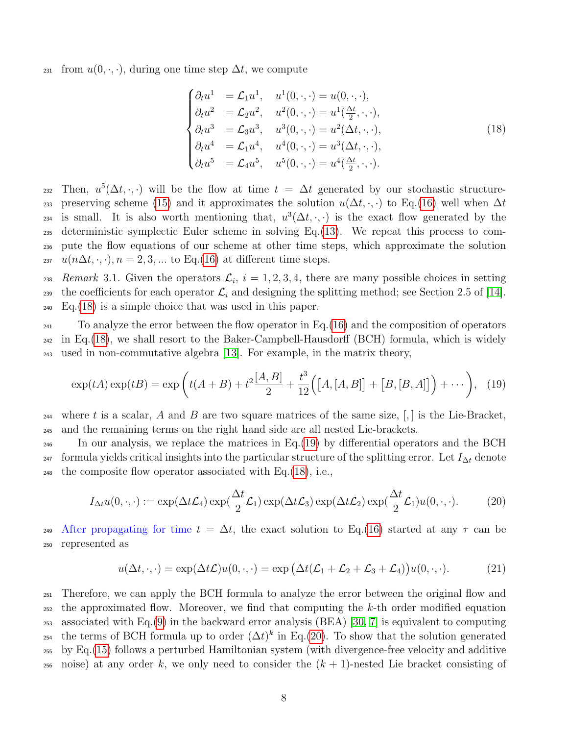<sup>231</sup> from  $u(0, \cdot, \cdot)$ , during one time step  $\Delta t$ , we compute

<span id="page-7-1"></span><span id="page-7-0"></span>
$$
\begin{cases}\n\partial_t u^1 = \mathcal{L}_1 u^1, & u^1(0, \cdot, \cdot) = u(0, \cdot, \cdot), \\
\partial_t u^2 = \mathcal{L}_2 u^2, & u^2(0, \cdot, \cdot) = u^1(\frac{\Delta t}{2}, \cdot, \cdot), \\
\partial_t u^3 = \mathcal{L}_3 u^3, & u^3(0, \cdot, \cdot) = u^2(\Delta t, \cdot, \cdot), \\
\partial_t u^4 = \mathcal{L}_1 u^4, & u^4(0, \cdot, \cdot) = u^3(\Delta t, \cdot, \cdot), \\
\partial_t u^5 = \mathcal{L}_4 u^5, & u^5(0, \cdot, \cdot) = u^4(\frac{\Delta t}{2}, \cdot, \cdot).\n\end{cases}
$$
\n(18)

232 Then,  $u^5(\Delta t, \cdot, \cdot)$  will be the flow at time  $t = \Delta t$  generated by our stochastic structure-233 preserving scheme [\(15\)](#page-6-0) and it approximates the solution  $u(\Delta t, \cdot, \cdot)$  to Eq.[\(16\)](#page-6-1) well when  $\Delta t$ 234 is small. It is also worth mentioning that,  $u^3(\Delta t, \cdot, \cdot)$  is the exact flow generated by the <sup>235</sup> deterministic symplectic Euler scheme in solving Eq.[\(13\)](#page-5-3). We repeat this process to com-<sup>236</sup> pute the flow equations of our scheme at other time steps, which approximate the solution <sup>237</sup> u(n $\Delta t$ , ·, ·),  $n = 2, 3, ...$  to Eq.[\(16\)](#page-6-1) at different time steps.

238 Remark 3.1. Given the operators  $\mathcal{L}_i$ ,  $i = 1, 2, 3, 4$ , there are many possible choices in setting 239 the coefficients for each operator  $\mathcal{L}_i$  and designing the splitting method; see Section 2.5 of [\[14\]](#page-27-3). <sup>240</sup> Eq.[\(18\)](#page-7-0) is a simple choice that was used in this paper.

 $_{241}$  To analyze the error between the flow operator in Eq. [\(16\)](#page-6-1) and the composition of operators  $_{242}$  in Eq.[\(18\)](#page-7-0), we shall resort to the Baker-Campbell-Hausdorff (BCH) formula, which is widely <sup>243</sup> used in non-commutative algebra [\[13\]](#page-27-8). For example, in the matrix theory,

$$
\exp(tA)\exp(tB) = \exp\left(t(A+B) + t^2\frac{[A,B]}{2} + \frac{t^3}{12}\Big([A,[A,B]] + [B,[B,A]]\Big) + \cdots\right), (19)
$$

<sup>244</sup> where t is a scalar, A and B are two square matrices of the same size,  $[,]$  is the Lie-Bracket, <sup>245</sup> and the remaining terms on the right hand side are all nested Lie-brackets.

<sup>246</sup> In our analysis, we replace the matrices in Eq.[\(19\)](#page-7-1) by differential operators and the BCH  $_{247}$  formula yields critical insights into the particular structure of the splitting error. Let  $I_{\Delta t}$  denote <sup>248</sup> the composite flow operator associated with Eq.[\(18\)](#page-7-0), i.e.,

$$
I_{\Delta t}u(0,\cdot,\cdot) := \exp(\Delta t \mathcal{L}_4) \exp(\frac{\Delta t}{2} \mathcal{L}_1) \exp(\Delta t \mathcal{L}_3) \exp(\Delta t \mathcal{L}_2) \exp(\frac{\Delta t}{2} \mathcal{L}_1) u(0,\cdot,\cdot). \tag{20}
$$

After propagating for time  $t = \Delta t$ , the exact solution to Eq.[\(16\)](#page-6-1) started at any  $\tau$  can be <sup>250</sup> represented as

<span id="page-7-2"></span>
$$
u(\Delta t, \cdot, \cdot) = \exp(\Delta t \mathcal{L}) u(0, \cdot, \cdot) = \exp\left(\Delta t (\mathcal{L}_1 + \mathcal{L}_2 + \mathcal{L}_3 + \mathcal{L}_4)\right) u(0, \cdot, \cdot). \tag{21}
$$

 Therefore, we can apply the BCH formula to analyze the error between the original flow and the approximated flow. Moreover, we find that computing the k-th order modified equation associated with Eq.[\(9\)](#page-5-0) in the backward error analysis (BEA) [\[30,](#page-28-11) [7\]](#page-27-9) is equivalent to computing 254 the terms of BCH formula up to order  $(\Delta t)^k$  in Eq.[\(20\)](#page-7-2). To show that the solution generated by Eq.[\(15\)](#page-6-0) follows a perturbed Hamiltonian system (with divergence-free velocity and additive 256 noise) at any order k, we only need to consider the  $(k + 1)$ -nested Lie bracket consisting of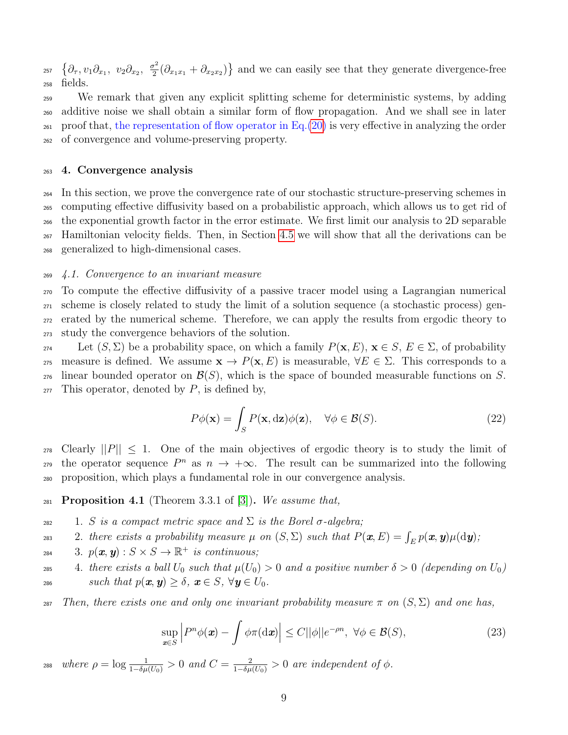$\{\partial_\tau, v_1\partial_{x_1}, v_2\partial_{x_2}, \frac{\sigma^2}{2}\}$ <sup>257</sup>  $\{\partial_\tau, v_1 \partial_{x_1}, v_2 \partial_{x_2}, \frac{\sigma^2}{2}(\partial_{x_1x_1} + \partial_{x_2x_2})\}$  and we can easily see that they generate divergence-free <sup>258</sup> fields.

 We remark that given any explicit splitting scheme for deterministic systems, by adding additive noise we shall obtain a similar form of flow propagation. And we shall see in later proof that, the representation of flow operator in Eq.[\(20\)](#page-7-2) is very effective in analyzing the order of convergence and volume-preserving property.

## <span id="page-8-0"></span><sup>263</sup> 4. Convergence analysis

 In this section, we prove the convergence rate of our stochastic structure-preserving schemes in computing effective diffusivity based on a probabilistic approach, which allows us to get rid of the exponential growth factor in the error estimate. We first limit our analysis to 2D separable Hamiltonian velocity fields. Then, in Section [4.5](#page-18-0) we will show that all the derivations can be generalized to high-dimensional cases.

## <sup>269</sup> 4.1. Convergence to an invariant measure

 To compute the effective diffusivity of a passive tracer model using a Lagrangian numerical scheme is closely related to study the limit of a solution sequence (a stochastic process) gen- erated by the numerical scheme. Therefore, we can apply the results from ergodic theory to study the convergence behaviors of the solution.

274 Let  $(S, \Sigma)$  be a probability space, on which a family  $P(\mathbf{x}, E)$ ,  $\mathbf{x} \in S$ ,  $E \in \Sigma$ , of probability 275 measure is defined. We assume  $\mathbf{x} \to P(\mathbf{x}, E)$  is measurable,  $\forall E \in \Sigma$ . This corresponds to a 276 linear bounded operator on  $\mathcal{B}(S)$ , which is the space of bounded measurable functions on S.  $277$  This operator, denoted by P, is defined by,

$$
P\phi(\mathbf{x}) = \int_{S} P(\mathbf{x}, d\mathbf{z})\phi(\mathbf{z}), \quad \forall \phi \in \mathcal{B}(S).
$$
 (22)

 $_{278}$  Clearly  $||P|| \leq 1$ . One of the main objectives of ergodic theory is to study the limit of the operator sequence  $P^n$  as  $n \to +\infty$ . The result can be summarized into the following <sup>280</sup> proposition, which plays a fundamental role in our convergence analysis.

# <span id="page-8-1"></span>281 Proposition 4.1 (Theorem 3.3.1 of [\[3\]](#page-27-0)). We assume that,

- 282 1. S is a compact metric space and  $\Sigma$  is the Borel  $\sigma$ -algebra;
- 283 2. there exists a probability measure  $\mu$  on  $(S, \Sigma)$  such that  $P(\bm{x}, E) = \int_E p(\bm{x}, \bm{y}) \mu(\mathrm{d}\bm{y});$
- <sup>284</sup> 3.  $p(x, y): S \times S \to \mathbb{R}^+$  is continuous;
- 285 4. there exists a ball  $U_0$  such that  $\mu(U_0) > 0$  and a positive number  $\delta > 0$  (depending on  $U_0$ )
- <sup>286</sup> such that  $p(x, y) \ge \delta$ ,  $x \in S$ ,  $\forall y \in U_0$ .

287 Then, there exists one and only one invariant probability measure  $\pi$  on  $(S, \Sigma)$  and one has,

$$
\sup_{\mathbf{x}\in S} \left| P^n \phi(\mathbf{x}) - \int \phi \pi(\mathrm{d}\mathbf{x}) \right| \le C ||\phi|| e^{-\rho n}, \ \forall \phi \in \mathcal{B}(S),\tag{23}
$$

<sup>288</sup> where  $\rho = \log \frac{1}{1-\delta \mu(U_0)} > 0$  and  $C = \frac{2}{1-\delta \mu(U_0)} > 0$  are independent of  $\phi$ .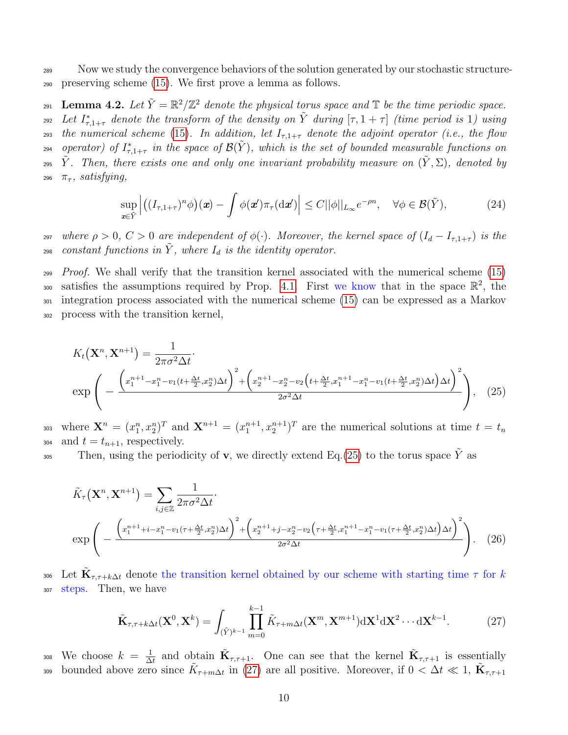<sup>289</sup> Now we study the convergence behaviors of the solution generated by our stochastic structure-<sup>290</sup> preserving scheme [\(15\)](#page-6-0). We first prove a lemma as follows.

<span id="page-9-3"></span>291 Lemma 4.2. Let  $\tilde{Y} = \mathbb{R}^2/\mathbb{Z}^2$  denote the physical torus space and  $\mathbb{T}$  be the time periodic space. <sup>292</sup> Let  $I_{\tau,1+\tau}^*$  denote the transform of the density on  $\tilde{Y}$  during  $[\tau,1+\tau]$  (time period is 1) using 293 the numerical scheme [\(15\)](#page-6-0). In addition, let  $I_{\tau,1+\tau}$  denote the adjoint operator (i.e., the flow  $f_{\tau,1+\tau}$  in the space of  $\mathcal{B}(\tilde{Y})$ , which is the set of bounded measurable functions on <sup>295</sup> Y. Then, there exists one and only one invariant probability measure on  $(\tilde{Y}, \Sigma)$ , denoted by 296  $\pi_{\tau}$ , satisfying,

<span id="page-9-2"></span><span id="page-9-0"></span>
$$
\sup_{\mathbf{x}\in\tilde{Y}}\left|\left((I_{\tau,1+\tau})^n\phi\right)(\mathbf{x})-\int\phi(\mathbf{x}')\pi_{\tau}(\mathrm{d}\mathbf{x}')\right|\leq C||\phi||_{L_{\infty}}e^{-\rho n},\quad\forall\phi\in\mathcal{B}(\tilde{Y}),\tag{24}
$$

<sup>297</sup> where  $\rho > 0$ ,  $C > 0$  are independent of  $\phi(\cdot)$ . Moreover, the kernel space of  $(I_d - I_{\tau,1+\tau})$  is the 298 constant functions in  $\tilde{Y}$ , where  $I_d$  is the identity operator.

 $P_{700f}$ . We shall verify that the transition kernel associated with the numerical scheme [\(15\)](#page-6-0) 300 satisfies the assumptions required by Prop. [4.1.](#page-8-1) First we know that in the space  $\mathbb{R}^2$ , the <sup>301</sup> integration process associated with the numerical scheme [\(15\)](#page-6-0) can be expressed as a Markov <sup>302</sup> process with the transition kernel,

$$
K_t(\mathbf{X}^n, \mathbf{X}^{n+1}) = \frac{1}{2\pi\sigma^2\Delta t}.
$$
  
\n
$$
\exp\left(-\frac{\left(x_1^{n+1} - x_1^n - v_1(t + \frac{\Delta t}{2}, x_2^n)\Delta t\right)^2 + \left(x_2^{n+1} - x_2^n - v_2\left(t + \frac{\Delta t}{2}, x_1^{n+1} - x_1^n - v_1(t + \frac{\Delta t}{2}, x_2^n)\Delta t\right)\Delta t\right)^2}{2\sigma^2\Delta t}\right),
$$
 (25)

303 where  $\mathbf{X}^n = (x_1^n, x_2^n)^T$  and  $\mathbf{X}^{n+1} = (x_1^{n+1}, x_2^{n+1})^T$  are the numerical solutions at time  $t = t_n$ 304 and  $t = t_{n+1}$ , respectively.

Then, using the periodicity of **v**, we directly extend Eq.[\(25\)](#page-9-0) to the torus space  $\tilde{Y}$  as

$$
\tilde{K}_{\tau}(\mathbf{X}^{n}, \mathbf{X}^{n+1}) = \sum_{i,j \in \mathbb{Z}} \frac{1}{2\pi \sigma^{2} \Delta t}.
$$
\n
$$
\exp\left(-\frac{\left(x_{1}^{n+1} + i - x_{1}^{n} - v_{1}(\tau + \frac{\Delta t}{2}, x_{2}^{n}) \Delta t\right)^{2} + \left(x_{2}^{n+1} + j - x_{2}^{n} - v_{2}\left(\tau + \frac{\Delta t}{2}, x_{1}^{n+1} - x_{1}^{n} - v_{1}(\tau + \frac{\Delta t}{2}, x_{2}^{n}) \Delta t\right)^{2}}{2\sigma^{2} \Delta t}}\right).
$$
\n(26)

306 Let  $\tilde{\mathbf{K}}_{\tau,\tau+k\Delta t}$  denote the transition kernel obtained by our scheme with starting time  $\tau$  for k <sup>307</sup> steps. Then, we have

<span id="page-9-4"></span><span id="page-9-1"></span>
$$
\tilde{\mathbf{K}}_{\tau,\tau+k\Delta t}(\mathbf{X}^0,\mathbf{X}^k) = \int_{(\tilde{Y})^{k-1}} \prod_{m=0}^{k-1} \tilde{K}_{\tau+m\Delta t}(\mathbf{X}^m,\mathbf{X}^{m+1}) \mathrm{d}\mathbf{X}^1 \mathrm{d}\mathbf{X}^2 \cdots \mathrm{d}\mathbf{X}^{k-1}.
$$
 (27)

We choose  $k = \frac{1}{\Delta}$ <sup>308</sup> We choose  $k = \frac{1}{\Delta t}$  and obtain  $\tilde{\mathbf{K}}_{\tau,\tau+1}$ . One can see that the kernel  $\tilde{\mathbf{K}}_{\tau,\tau+1}$  is essentially bounded above zero since  $\tilde{K}_{\tau+m\Delta t}$  in [\(27\)](#page-9-1) are all positive. Moreover, if  $0 < \Delta t \ll 1$ ,  $\tilde{K}_{\tau,\tau+1}$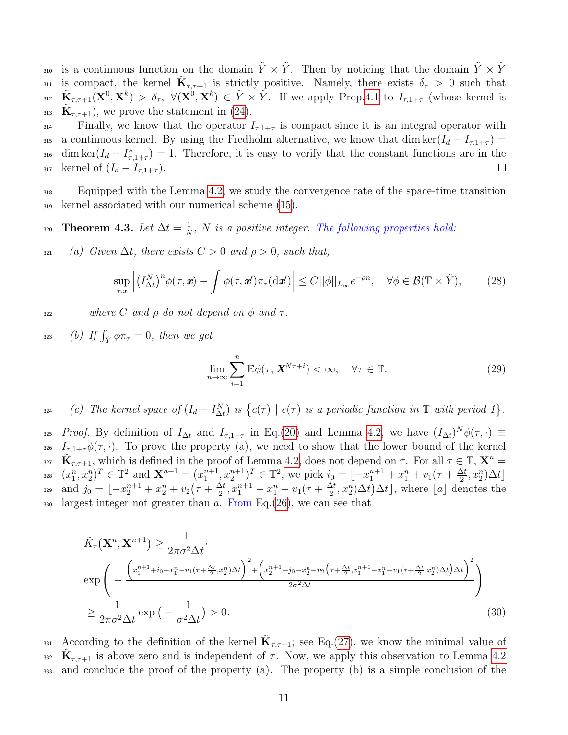is a continuous function on the domain  $\tilde{Y} \times \tilde{Y}$ . Then by noticing that the domain  $\tilde{Y} \times \tilde{Y}$ is compact, the kernel  $\tilde{\mathbf{K}}_{\tau,\tau+1}$  is strictly positive. Namely, there exists  $\delta_{\tau} > 0$  such that 312  $\tilde{\mathbf{K}}_{\tau,\tau+1}(\mathbf{X}^0,\mathbf{X}^k) > \delta_{\tau}$ ,  $\forall (\mathbf{X}^0,\mathbf{X}^k) \in \tilde{Y} \times \tilde{Y}$ . If we apply Prop[.4.1](#page-8-1) to  $I_{\tau,1+\tau}$  (whose kernel is 313  $\mathbf{K}_{\tau,\tau+1}$ , we prove the statement in [\(24\)](#page-9-2).

 $_{314}$  Finally, we know that the operator  $I_{\tau,1+\tau}$  is compact since it is an integral operator with 315 a continuous kernel. By using the Fredholm alternative, we know that dim ker( $I_d - I_{\tau,1+\tau}$ ) = 316 dim ker( $I_d - I_{\tau,1+\tau}^*$ ) = 1. Therefore, it is easy to verify that the constant functions are in the 317 kernel of  $(I_d - I_{\tau,1+\tau})$ .  $\Box$ 

<sup>318</sup> Equipped with the Lemma [4.2,](#page-9-3) we study the convergence rate of the space-time transition <sup>319</sup> kernel associated with our numerical scheme [\(15\)](#page-6-0).

<span id="page-10-0"></span>Theorem 4.3. Let  $\Delta t = \frac{1}{N}$ 320 **Theorem 4.3.** Let  $\Delta t = \frac{1}{N}$ , N is a positive integer. The following properties hold:

321 (a) Given  $\Delta t$ , there exists  $C > 0$  and  $\rho > 0$ , such that,

$$
\sup_{\tau,\mathbf{x}} \left| \left( I_{\Delta t}^N \right)^n \phi(\tau,\mathbf{x}) - \int \phi(\tau,\mathbf{x}') \pi_\tau(\mathrm{d}\mathbf{x}') \right| \le C ||\phi||_{L_\infty} e^{-\rho n}, \quad \forall \phi \in \mathcal{B}(\mathbb{T} \times \tilde{Y}), \tag{28}
$$

 $\frac{322}{4}$  where C and ρ do not depend on φ and τ.

323 (b) If  $\int_{\tilde{Y}} \phi \pi_{\tau} = 0$ , then we get

$$
\lim_{n \to \infty} \sum_{i=1}^{n} \mathbb{E}\phi(\tau, \mathbf{X}^{N\tau+i}) < \infty, \quad \forall \tau \in \mathbb{T}.\tag{29}
$$

 $\{c(\tau) \mid c(\tau) \text{ is a periodic function in } \mathbb{T} \text{ with period } 1\}.$ 

325 *Proof.* By definition of  $I_{\Delta t}$  and  $I_{\tau,1+\tau}$  in Eq.[\(20\)](#page-7-2) and Lemma [4.2,](#page-9-3) we have  $(I_{\Delta t})^N \phi(\tau, \cdot) \equiv$ 326  $I_{\tau,1+\tau}\phi(\tau,\cdot)$ . To prove the property (a), we need to show that the lower bound of the kernel 327  $\tilde{\mathbf{K}}_{\tau,\tau+1}$ , which is defined in the proof of Lemma [4.2,](#page-9-3) does not depend on  $\tau$ . For all  $\tau \in \mathbb{T}, \mathbf{X}^n =$  $(x_1^n, x_2^n)^T \in \mathbb{T}^2$  and  $\mathbf{X}^{n+1} = (x_1^{n+1}, x_2^{n+1})^T \in \mathbb{T}^2$ , we pick  $i_0 = \lfloor -x_1^{n+1} + x_1^n + v_1(r + \frac{\Delta t}{2})^T \rfloor$ 328  $(x_1^n, x_2^n)^T \in \mathbb{T}^2$  and  $\mathbf{X}^{n+1} = (x_1^{n+1}, x_2^{n+1})^T \in \mathbb{T}^2$ , we pick  $i_0 = \lfloor -x_1^{n+1} + x_1^n + v_1(\tau + \frac{\Delta t}{2}, x_2^n)\Delta t \rfloor$ and  $j_0 = \lfloor -x_2^{n+1} + x_2^n + v_2 \left( \tau + \frac{\Delta t}{2} \right)$  $\frac{\Delta t}{2}$ ,  $x_1^{n+1} - x_1^n - v_1(\tau + \frac{\Delta t}{2})$ 329 and  $j_0 = \lfloor -x_2^{n+1} + x_2^n + v_2(r + \frac{\Delta t}{2}, x_1^{n+1} - x_1^n - v_1(r + \frac{\Delta t}{2}, x_2^n)\Delta t \rfloor$ , where [a] denotes the 330 largest integer not greater than  $a$ . From Eq.[\(26\)](#page-9-4), we can see that

$$
\tilde{K}_{\tau}(\mathbf{X}^{n}, \mathbf{X}^{n+1}) \geq \frac{1}{2\pi\sigma^{2}\Delta t}.
$$
\n
$$
\exp\left(-\frac{\left(x_{1}^{n+1}+i_{0}-x_{1}^{n}-v_{1}(\tau+\frac{\Delta t}{2},x_{2}^{n})\Delta t\right)^{2}+\left(x_{2}^{n+1}+j_{0}-x_{2}^{n}-v_{2}\left(\tau+\frac{\Delta t}{2},x_{1}^{n+1}-x_{1}^{n}-v_{1}(\tau+\frac{\Delta t}{2},x_{2}^{n})\Delta t\right)\Delta t\right)^{2}}{2\sigma^{2}\Delta t}\right)
$$
\n
$$
\geq \frac{1}{2\pi\sigma^{2}\Delta t} \exp\left(-\frac{1}{\sigma^{2}\Delta t}\right) > 0.
$$
\n(30)

331 According to the definition of the kernel  $\tilde{\mathbf{K}}_{\tau,\tau+1}$ ; see Eq.[\(27\)](#page-9-1), we know the minimal value of  $\mathbf{K}_{\tau,\tau+1}$  is above zero and is independent of  $\tau$ . Now, we apply this observation to Lemma [4.2](#page-9-3) <sup>333</sup> and conclude the proof of the property (a). The property (b) is a simple conclusion of the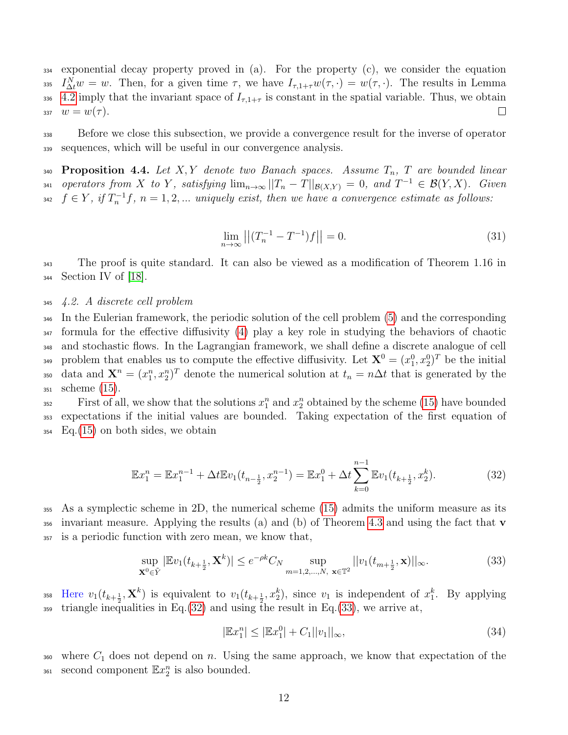exponential decay property proved in (a). For the property (c), we consider the equation  $I_{\Delta t}^N w = w$ . Then, for a given time  $\tau$ , we have  $I_{\tau,1+\tau}w(\tau,\cdot) = w(\tau,\cdot)$ . The results in Lemma [4.2](#page-9-3) imply that the invariant space of  $I_{\tau,1+\tau}$  is constant in the spatial variable. Thus, we obtain  $w = w(\tau)$ .  $\Box$ 

<sup>338</sup> Before we close this subsection, we provide a convergence result for the inverse of operator <sup>339</sup> sequences, which will be useful in our convergence analysis.

<span id="page-11-2"></span>340 Proposition 4.4. Let  $X, Y$  denote two Banach spaces. Assume  $T_n$ , T are bounded linear 341 operators from X to Y, satisfying  $\lim_{n\to\infty} ||T_n-T||_{\mathcal{B}(X,Y)}=0$ , and  $T^{-1}\in \mathcal{B}(Y,X)$ . Given  $f \in Y$ , if  $T_n^{-1}f$ ,  $n = 1, 2, ...$  uniquely exist, then we have a convergence estimate as follows:

$$
\lim_{n \to \infty} \left| \left| (T_n^{-1} - T^{-1}) f \right| \right| = 0. \tag{31}
$$

<sup>343</sup> The proof is quite standard. It can also be viewed as a modification of Theorem 1.16 in  $344$  Section IV of [\[18\]](#page-28-12).

#### <sup>345</sup> 4.2. A discrete cell problem

 In the Eulerian framework, the periodic solution of the cell problem [\(5\)](#page-3-1) and the corresponding formula for the effective diffusivity [\(4\)](#page-3-3) play a key role in studying the behaviors of chaotic and stochastic flows. In the Lagrangian framework, we shall define a discrete analogue of cell 349 problem that enables us to compute the effective diffusivity. Let  $X^0 = (x_1^0, x_2^0)^T$  be the initial <sup>350</sup> data and  $\mathbf{X}^n = (x_1^n, x_2^n)^T$  denote the numerical solution at  $t_n = n\Delta t$  that is generated by the scheme [\(15\)](#page-6-0).

<sup>352</sup> First of all, we show that the solutions  $x_1^n$  and  $x_2^n$  obtained by the scheme [\(15\)](#page-6-0) have bounded <sup>353</sup> expectations if the initial values are bounded. Taking expectation of the first equation of  $_{354}$  Eq.[\(15\)](#page-6-0) on both sides, we obtain

$$
\mathbb{E}x_1^n = \mathbb{E}x_1^{n-1} + \Delta t \mathbb{E}v_1(t_{n-\frac{1}{2}}, x_2^{n-1}) = \mathbb{E}x_1^0 + \Delta t \sum_{k=0}^{n-1} \mathbb{E}v_1(t_{k+\frac{1}{2}}, x_2^k).
$$
 (32)

<sup>355</sup> As a symplectic scheme in 2D, the numerical scheme [\(15\)](#page-6-0) admits the uniform measure as its 356 invariant measure. Applying the results (a) and (b) of Theorem [4.3](#page-10-0) and using the fact that  $\bf{v}$ <sup>357</sup> is a periodic function with zero mean, we know that,

$$
\sup_{\mathbf{X}^0 \in \tilde{Y}} |\mathbb{E}v_1(t_{k+\frac{1}{2}}, \mathbf{X}^k)| \le e^{-\rho k} C_N \sup_{m=1,2,\dots,N, \ \mathbf{x} \in \mathbb{T}^2} ||v_1(t_{m+\frac{1}{2}}, \mathbf{x})||_{\infty}.
$$
 (33)

358 Here  $v_1(t_{k+\frac{1}{2}}, \mathbf{X}^k)$  is equivalent to  $v_1(t_{k+\frac{1}{2}}, x_2^k)$ , since  $v_1$  is independent of  $x_1^k$ . By applying  $\frac{359}{100}$  triangle inequalities in Eq.[\(32\)](#page-11-0) and using the result in Eq.[\(33\)](#page-11-1), we arrive at,

<span id="page-11-1"></span><span id="page-11-0"></span>
$$
|\mathbb{E}x_1^n| \le |\mathbb{E}x_1^0| + C_1||v_1||_{\infty},\tag{34}
$$

 $360$  where  $C_1$  does not depend on n. Using the same approach, we know that expectation of the <sup>361</sup> second component  $\mathbb{E}x_2^n$  is also bounded.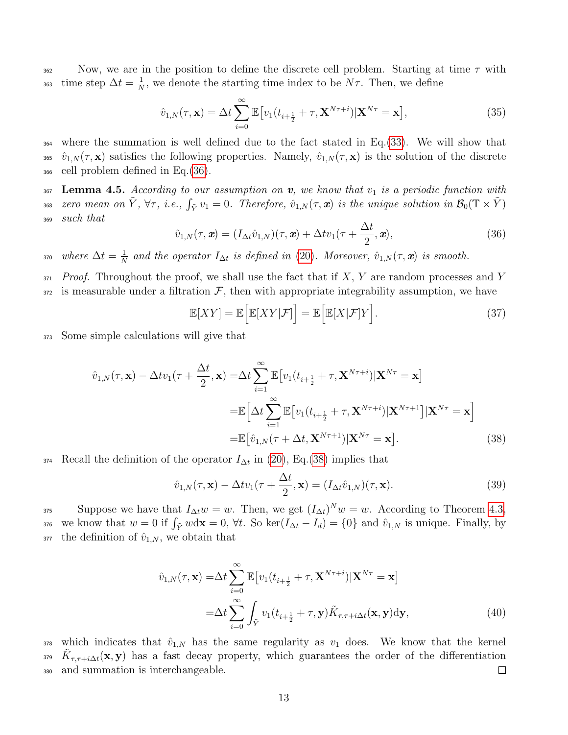$362$  Now, we are in the position to define the discrete cell problem. Starting at time  $\tau$  with time step  $\Delta t = \frac{1}{N}$ 363 time step  $\Delta t = \frac{1}{N}$ , we denote the starting time index to be  $N\tau$ . Then, we define

$$
\hat{v}_{1,N}(\tau,\mathbf{x}) = \Delta t \sum_{i=0}^{\infty} \mathbb{E} \big[ v_1(t_{i+\frac{1}{2}} + \tau, \mathbf{X}^{N\tau+i}) | \mathbf{X}^{N\tau} = \mathbf{x} \big],\tag{35}
$$

<sup>364</sup> where the summation is well defined due to the fact stated in Eq.[\(33\)](#page-11-1). We will show that 365  $\hat{v}_{1,N}(\tau,\mathbf{x})$  satisfies the following properties. Namely,  $\hat{v}_{1,N}(\tau,\mathbf{x})$  is the solution of the discrete <sup>366</sup> cell problem defined in Eq.[\(36\)](#page-12-1).

<span id="page-12-0"></span> $367$  Lemma 4.5. According to our assumption on v, we know that  $v_1$  is a periodic function with <sup>368</sup> zero mean on  $\tilde{Y}$ ,  $\forall \tau$ , i.e.,  $\int_{\tilde{Y}} v_1 = 0$ . Therefore,  $\hat{v}_{1,N}(\tau,\bm{x})$  is the unique solution in  $\mathcal{B}_0(\mathbb{T} \times \tilde{Y})$ <sup>369</sup> such that

<span id="page-12-1"></span>
$$
\hat{v}_{1,N}(\tau,\mathbf{x}) = (I_{\Delta t}\hat{v}_{1,N})(\tau,\mathbf{x}) + \Delta t v_1(\tau + \frac{\Delta t}{2}, \mathbf{x}), \tag{36}
$$

where  $\Delta t = \frac{1}{N}$ 370 where  $\Delta t = \frac{1}{N}$  and the operator  $I_{\Delta t}$  is defined in [\(20\)](#page-7-2). Moreover,  $\hat{v}_{1,N}(\tau,\mathbf{x})$  is smooth.

 $371$  Proof. Throughout the proof, we shall use the fact that if X, Y are random processes and Y  $372$  is measurable under a filtration  $\mathcal{F}$ , then with appropriate integrability assumption, we have

$$
\mathbb{E}[XY] = \mathbb{E}\Big[\mathbb{E}[XY|\mathcal{F}]\Big] = \mathbb{E}\Big[\mathbb{E}[X|\mathcal{F}]Y\Big].\tag{37}
$$

<sup>373</sup> Some simple calculations will give that

$$
\hat{v}_{1,N}(\tau, \mathbf{x}) - \Delta t v_1(\tau + \frac{\Delta t}{2}, \mathbf{x}) = \Delta t \sum_{i=1}^{\infty} \mathbb{E} \left[ v_1(t_{i+\frac{1}{2}} + \tau, \mathbf{X}^{N\tau+i}) | \mathbf{X}^{N\tau} = \mathbf{x} \right]
$$

$$
= \mathbb{E} \left[ \Delta t \sum_{i=1}^{\infty} \mathbb{E} \left[ v_1(t_{i+\frac{1}{2}} + \tau, \mathbf{X}^{N\tau+i}) | \mathbf{X}^{N\tau+1} \right] | \mathbf{X}^{N\tau} = \mathbf{x} \right]
$$

$$
= \mathbb{E} \left[ \hat{v}_{1,N}(\tau + \Delta t, \mathbf{X}^{N\tau+1}) | \mathbf{X}^{N\tau} = \mathbf{x} \right]. \tag{38}
$$

374 Recall the definition of the operator  $I_{\Delta t}$  in [\(20\)](#page-7-2), Eq.[\(38\)](#page-12-2) implies that

<span id="page-12-3"></span><span id="page-12-2"></span>
$$
\hat{v}_{1,N}(\tau,\mathbf{x}) - \Delta t v_1(\tau + \frac{\Delta t}{2}, \mathbf{x}) = (I_{\Delta t} \hat{v}_{1,N})(\tau, \mathbf{x}).
$$
\n(39)

Suppose we have that  $I_{\Delta t}w = w$ . Then, we get  $(I_{\Delta t})^N w = w$ . According to Theorem [4.3,](#page-10-0) 376 we know that  $w = 0$  if  $\int_{\tilde{Y}} w \, dx = 0$ ,  $\forall t$ . So ker $(I_{\Delta t} - I_d) = \{0\}$  and  $\hat{v}_{1,N}$  is unique. Finally, by  $377$  the definition of  $\hat{v}_{1,N}$ , we obtain that

$$
\hat{v}_{1,N}(\tau, \mathbf{x}) = \Delta t \sum_{i=0}^{\infty} \mathbb{E} \left[ v_1(t_{i+\frac{1}{2}} + \tau, \mathbf{X}^{N\tau+i}) | \mathbf{X}^{N\tau} = \mathbf{x} \right]
$$

$$
= \Delta t \sum_{i=0}^{\infty} \int_{\tilde{Y}} v_1(t_{i+\frac{1}{2}} + \tau, \mathbf{y}) \tilde{K}_{\tau, \tau+i\Delta t}(\mathbf{x}, \mathbf{y}) \mathrm{d}\mathbf{y}, \tag{40}
$$

378 which indicates that  $\hat{v}_{1,N}$  has the same regularity as  $v_1$  does. We know that the kernel 379  $K_{\tau,\tau+i\Delta t}(\mathbf{x},\mathbf{y})$  has a fast decay property, which guarantees the order of the differentiation <sup>380</sup> and summation is interchangeable. □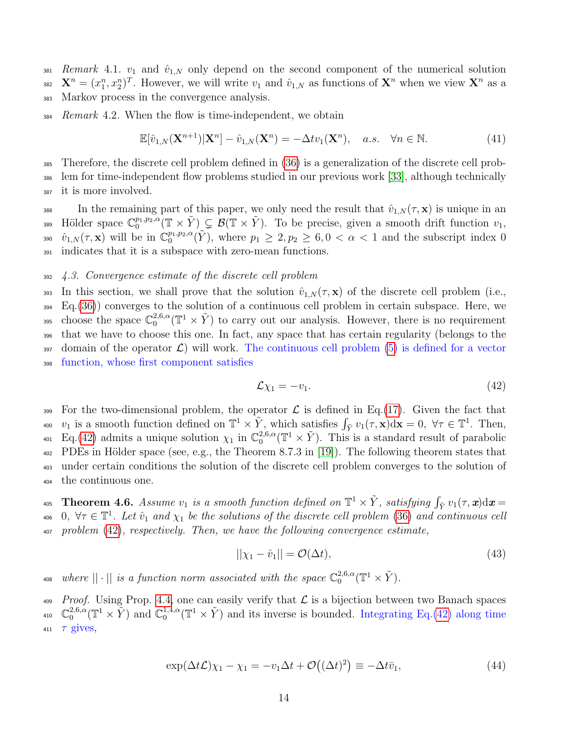381 Remark 4.1.  $v_1$  and  $\hat{v}_{1,N}$  only depend on the second component of the numerical solution <sup>382</sup>  $\mathbf{X}^n = (x_1^n, x_2^n)^T$ . However, we will write  $v_1$  and  $\hat{v}_{1,N}$  as functions of  $\mathbf{X}^n$  when we view  $\mathbf{X}^n$  as a <sup>383</sup> Markov process in the convergence analysis.

 $384$  Remark 4.2. When the flow is time-independent, we obtain

$$
\mathbb{E}[\hat{v}_{1,N}(\mathbf{X}^{n+1})|\mathbf{X}^n] - \hat{v}_{1,N}(\mathbf{X}^n) = -\Delta t v_1(\mathbf{X}^n), \quad a.s. \quad \forall n \in \mathbb{N}.
$$
 (41)

<sup>385</sup> Therefore, the discrete cell problem defined in [\(36\)](#page-12-1) is a generalization of the discrete cell prob-<sup>386</sup> lem for time-independent flow problems studied in our previous work [\[33\]](#page-29-1), although technically <sup>387</sup> it is more involved.

388 In the remaining part of this paper, we only need the result that  $\hat{v}_{1,N}(\tau, \mathbf{x})$  is unique in an 389 Hölder space  $\mathbb{C}_0^{p_1,p_2,\alpha}(\mathbb{T}\times \tilde{Y})\subsetneq \mathcal{B}(\mathbb{T}\times \tilde{Y})$ . To be precise, given a smooth drift function  $v_1$ , 390  $\hat{v}_{1,N}(\tau,\mathbf{x})$  will be in  $\mathbb{C}_0^{p_1,p_2,\alpha}(\tilde{Y})$ , where  $p_1 \geq 2, p_2 \geq 6, 0 < \alpha < 1$  and the subscript index 0 <sup>391</sup> indicates that it is a subspace with zero-mean functions.

#### <sup>392</sup> 4.3. Convergence estimate of the discrete cell problem

393 In this section, we shall prove that the solution  $\hat{v}_{1,N}(\tau,\mathbf{x})$  of the discrete cell problem (i.e., <sup>394</sup> Eq.[\(36\)](#page-12-1)) converges to the solution of a continuous cell problem in certain subspace. Here, we choose the space  $\mathbb{C}^{2,6,\alpha}_{0}$ <sup>395</sup> choose the space  $\mathbb{C}_0^{2,6,\alpha}(\mathbb{T}^1\times \tilde{Y})$  to carry out our analysis. However, there is no requirement <sup>396</sup> that we have to choose this one. In fact, any space that has certain regularity (belongs to the  $397$  domain of the operator  $\mathcal{L}$ ) will work. The continuous cell problem [\(5\)](#page-3-1) is defined for a vector <sup>398</sup> function, whose first component satisfies

<span id="page-13-0"></span>
$$
\mathcal{L}\chi_1 = -v_1. \tag{42}
$$

399 For the two-dimensional problem, the operator  $\mathcal L$  is defined in Eq.[\(17\)](#page-6-2). Given the fact that 400  $v_1$  is a smooth function defined on  $\mathbb{T}^1 \times \tilde{Y}$ , which satisfies  $\int_{\tilde{Y}} v_1(\tau, \mathbf{x}) d\mathbf{x} = 0$ ,  $\forall \tau \in \mathbb{T}^1$ . Then, Eq.[\(42\)](#page-13-0) admits a unique solution  $\chi_1$  in  $\mathbb{C}_0^{2,6,\alpha}$ <sup>401</sup> Eq. (42) admits a unique solution  $\chi_1$  in  $\mathbb{C}^{2,6,\alpha}_0(\mathbb{T}^1 \times \tilde{Y})$ . This is a standard result of parabolic  $402$  PDEs in Hölder space (see, e.g., the Theorem 8.7.3 in [\[19\]](#page-28-13)). The following theorem states that <sup>403</sup> under certain conditions the solution of the discrete cell problem converges to the solution of <sup>404</sup> the continuous one.

<span id="page-13-3"></span>405 **Theorem 4.6.** Assume  $v_1$  is a smooth function defined on  $\mathbb{T}^1 \times \tilde{Y}$ , satisfying  $\int_{\tilde{Y}} v_1(\tau, \boldsymbol{x}) d\boldsymbol{x} =$ 406 0,  $\forall \tau \in \mathbb{T}^1$ . Let  $\hat{v}_1$  and  $\chi_1$  be the solutions of the discrete cell problem [\(36\)](#page-12-1) and continuous cell <sup>407</sup> problem [\(42\)](#page-13-0), respectively. Then, we have the following convergence estimate,

<span id="page-13-2"></span><span id="page-13-1"></span>
$$
||\chi_1 - \hat{v}_1|| = \mathcal{O}(\Delta t),\tag{43}
$$

where  $||\cdot||$  is a function norm associated with the space  $\mathbb{C}_0^{2,6,\alpha}$ 408 where  $||\cdot||$  is a function norm associated with the space  $\mathbb{C}^{2,6,\alpha}_0(\mathbb{T}^1\times \tilde{Y})$ .

 $P_{\text{roof}}$ . Using Prop. [4.4,](#page-11-2) one can easily verify that  $\mathcal L$  is a bijection between two Banach spaces  $\mathbb{C}_0^{2,6,\alpha}$  $_{0}^{2,6,\alpha}(\mathbb{T}^{1}\times\tilde{Y})$  and  $\mathbb{C}_{0}^{1,4,\alpha}$ <sup>410</sup>  $\mathbb{C}_0^{2,6,\alpha}(\mathbb{T}^1 \times \tilde{Y})$  and  $\mathbb{C}_0^{1,4,\alpha}(\mathbb{T}^1 \times \tilde{Y})$  and its inverse is bounded. Integrating Eq.[\(42\)](#page-13-0) along time 411  $\tau$  gives,

$$
\exp(\Delta t \mathcal{L}) \chi_1 - \chi_1 = -v_1 \Delta t + \mathcal{O}((\Delta t)^2) \equiv -\Delta t \bar{v}_1,\tag{44}
$$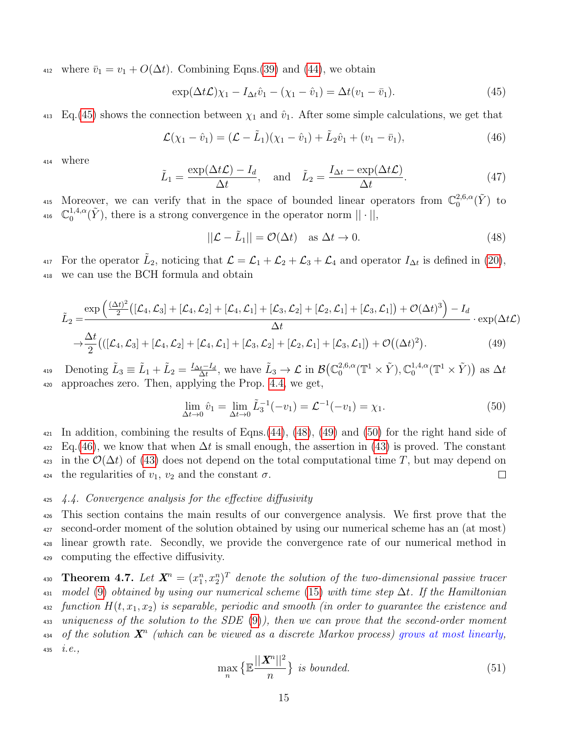412 where  $\bar{v}_1 = v_1 + O(\Delta t)$ . Combining Eqns.[\(39\)](#page-12-3) and [\(44\)](#page-13-1), we obtain

<span id="page-14-0"></span>
$$
\exp(\Delta t \mathcal{L}) \chi_1 - I_{\Delta t} \hat{v}_1 - (\chi_1 - \hat{v}_1) = \Delta t (v_1 - \bar{v}_1). \tag{45}
$$

 $_{413}$  Eq.[\(45\)](#page-14-0) shows the connection between  $\chi_1$  and  $\hat{v}_1$ . After some simple calculations, we get that

$$
\mathcal{L}(\chi_1 - \hat{v}_1) = (\mathcal{L} - \tilde{L}_1)(\chi_1 - \hat{v}_1) + \tilde{L}_2 \hat{v}_1 + (v_1 - \bar{v}_1),
$$
\n(46)

<sup>414</sup> where

$$
\tilde{L}_1 = \frac{\exp(\Delta t \mathcal{L}) - I_d}{\Delta t}, \quad \text{and} \quad \tilde{L}_2 = \frac{I_{\Delta t} - \exp(\Delta t \mathcal{L})}{\Delta t}.
$$
\n(47)

Moreover, we can verify that in the space of bounded linear operators from  $\mathbb{C}_0^{2,6,\alpha}$ <sup>415</sup> Moreover, we can verify that in the space of bounded linear operators from  $\mathbb{C}^{2,6,\alpha}_0(\tilde{Y})$  to  $\mathbb{C}_{0}^{1,4,\alpha}$ <sup>416</sup>  $\mathbb{C}_0^{1,4,\alpha}(\tilde{Y})$ , there is a strong convergence in the operator norm  $|| \cdot ||$ ,

<span id="page-14-4"></span><span id="page-14-2"></span><span id="page-14-1"></span>
$$
||\mathcal{L} - \tilde{L}_1|| = \mathcal{O}(\Delta t) \quad \text{as } \Delta t \to 0. \tag{48}
$$

<sup>417</sup> For the operator  $\tilde{L}_2$ , noticing that  $\mathcal{L} = \mathcal{L}_1 + \mathcal{L}_2 + \mathcal{L}_3 + \mathcal{L}_4$  and operator  $I_{\Delta t}$  is defined in [\(20\)](#page-7-2), <sup>418</sup> we can use the BCH formula and obtain

$$
\tilde{L}_2 = \frac{\exp\left(\frac{(\Delta t)^2}{2}\left([\mathcal{L}_4, \mathcal{L}_3] + [\mathcal{L}_4, \mathcal{L}_2] + [\mathcal{L}_4, \mathcal{L}_1] + [\mathcal{L}_3, \mathcal{L}_2] + [\mathcal{L}_2, \mathcal{L}_1] + [\mathcal{L}_3, \mathcal{L}_1]\right) + \mathcal{O}(\Delta t)^3\right) - I_d}{\Delta t} \cdot \exp(\Delta t \mathcal{L})
$$
\n
$$
\rightarrow \frac{\Delta t}{2} \big( \big( [\mathcal{L}_4, \mathcal{L}_3] + [\mathcal{L}_4, \mathcal{L}_2] + [\mathcal{L}_4, \mathcal{L}_1] + [\mathcal{L}_3, \mathcal{L}_2] + [\mathcal{L}_2, \mathcal{L}_1] + [\mathcal{L}_3, \mathcal{L}_1] \big) + \mathcal{O}((\Delta t)^2). \tag{49}
$$

Denoting  $\tilde{L}_3 \equiv \tilde{L}_1 + \tilde{L}_2 = \frac{I_{\Delta t} - I_d}{\Delta t}$  $\frac{t^{-1}d}{\Delta t}$ , we have  $\tilde{L}_3 \to \mathcal{L}$  in  $\mathcal{B}(\mathbb{C}_0^{2,6,\alpha})$  $_{0}^{2,6,\alpha}(\mathbb{T}^{1}\times\tilde{Y}),\mathbb{C}_{0}^{1,4,\alpha}$  $\mathcal{L}_{419}$  Denoting  $\tilde{L}_3 \equiv \tilde{L}_1 + \tilde{L}_2 = \frac{I_{\Delta t} - I_d}{\Delta t}$ , we have  $\tilde{L}_3 \to \mathcal{L}$  in  $\mathcal{B}(\mathbb{C}_0^{2,6,\alpha}(\mathbb{T}^1 \times \tilde{Y}), \mathbb{C}_0^{1,4,\alpha}(\mathbb{T}^1 \times \tilde{Y}))$  as  $\Delta t$ <sup>420</sup> approaches zero. Then, applying the Prop. [4.4,](#page-11-2) we get,

<span id="page-14-3"></span>
$$
\lim_{\Delta t \to 0} \hat{v}_1 = \lim_{\Delta t \to 0} \tilde{L}_3^{-1}(-v_1) = \mathcal{L}^{-1}(-v_1) = \chi_1.
$$
\n(50)

 $\mu_{21}$  In addition, combining the results of Eqns.[\(44\)](#page-13-1), [\(48\)](#page-14-1), [\(49\)](#page-14-2) and [\(50\)](#page-14-3) for the right hand side of  $_{422}$  Eq.[\(46\)](#page-14-4), we know that when  $\Delta t$  is small enough, the assertion in [\(43\)](#page-13-2) is proved. The constant  $\varphi_{423}$  in the  $\mathcal{O}(\Delta t)$  of [\(43\)](#page-13-2) does not depend on the total computational time T, but may depend on 424 the regularities of  $v_1, v_2$  and the constant  $\sigma$ .  $\Box$ 

#### <sup>425</sup> 4.4. Convergence analysis for the effective diffusivity

 This section contains the main results of our convergence analysis. We first prove that the second-order moment of the solution obtained by using our numerical scheme has an (at most) linear growth rate. Secondly, we provide the convergence rate of our numerical method in computing the effective diffusivity.

<span id="page-14-6"></span><span id="page-14-5"></span>430 **Theorem 4.7.** Let  $\mathbf{X}^n = (x_1^n, x_2^n)^T$  denote the solution of the two-dimensional passive tracer  $_{431}$  model [\(9\)](#page-5-0) obtained by using our numerical scheme [\(15\)](#page-6-0) with time step  $\Delta t$ . If the Hamiltonian 432 function  $H(t, x_1, x_2)$  is separable, periodic and smooth (in order to guarantee the existence and 433 uniqueness of the solution to the SDE  $(9)$ ), then we can prove that the second-order moment 434 of the solution  $\mathbf{X}^n$  (which can be viewed as a discrete Markov process) grows at most linearly, 435  $i.e.,$ 

$$
\max_{n} \left\{ \mathbb{E} \frac{||\mathbf{X}^{n}||^{2}}{n} \right\} \text{ is bounded.}
$$
\n
$$
(51)
$$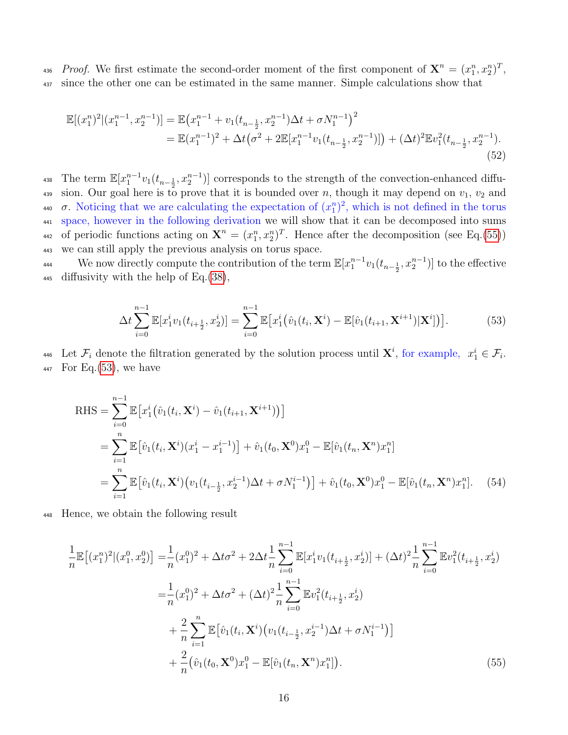436 *Proof.* We first estimate the second-order moment of the first component of  $\mathbf{X}^n = (x_1^n, x_2^n)^T$ , <sup>437</sup> since the other one can be estimated in the same manner. Simple calculations show that

$$
\mathbb{E}[(x_1^n)^2|(x_1^{n-1}, x_2^{n-1})] = \mathbb{E}(x_1^{n-1} + v_1(t_{n-\frac{1}{2}}, x_2^{n-1})\Delta t + \sigma N_1^{n-1})^2
$$
  
=  $\mathbb{E}(x_1^{n-1})^2 + \Delta t(\sigma^2 + 2\mathbb{E}[x_1^{n-1}v_1(t_{n-\frac{1}{2}}, x_2^{n-1})]) + (\Delta t)^2 \mathbb{E}v_1^2(t_{n-\frac{1}{2}}, x_2^{n-1}).$  (52)

<sup>438</sup> The term  $\mathbb{E}[x_1^{n-1}v_1(t_{n-\frac{1}{2}}, x_2^{n-1})]$  corresponds to the strength of the convection-enhanced diffu-439 sion. Our goal here is to prove that it is bounded over n, though it may depend on  $v_1$ ,  $v_2$  and 440  $\sigma$ . Noticing that we are calculating the expectation of  $(x_1^n)^2$ , which is not defined in the torus <sup>441</sup> space, however in the following derivation we will show that it can be decomposed into sums 442 of periodic functions acting on  $\mathbf{X}^n = (x_1^n, x_2^n)^T$ . Hence after the decomposition (see Eq.[\(55\)](#page-15-0)) <sup>443</sup> we can still apply the previous analysis on torus space.

We now directly compute the contribution of the term  $\mathbb{E}[x_1^{n-1}v_1(t_{n-\frac{1}{2}}, x_2^{n-1})]$  to the effective 445 diffusivity with the help of Eq.  $(38)$ ,

<span id="page-15-1"></span>
$$
\Delta t \sum_{i=0}^{n-1} \mathbb{E}[x_1^i v_1(t_{i+\frac{1}{2}}, x_2^i)] = \sum_{i=0}^{n-1} \mathbb{E}[x_1^i (\hat{v}_1(t_i, \mathbf{X}^i) - \mathbb{E}[\hat{v}_1(t_{i+1}, \mathbf{X}^{i+1}) | \mathbf{X}^i]]]. \tag{53}
$$

446 Let  $\mathcal{F}_i$  denote the filtration generated by the solution process until  $\mathbf{X}^i$ , for example,  $x_1^i \in \mathcal{F}_i$ .  $447$  For Eq.  $(53)$ , we have

RHS = 
$$
\sum_{i=0}^{n-1} \mathbb{E} \big[ x_1^i \big( \hat{v}_1(t_i, \mathbf{X}^i) - \hat{v}_1(t_{i+1}, \mathbf{X}^{i+1}) \big) \big]
$$
  
\n= 
$$
\sum_{i=1}^n \mathbb{E} \big[ \hat{v}_1(t_i, \mathbf{X}^i)(x_1^i - x_1^{i-1}) \big] + \hat{v}_1(t_0, \mathbf{X}^0) x_1^0 - \mathbb{E} [\hat{v}_1(t_n, \mathbf{X}^n) x_1^n]
$$
  
\n= 
$$
\sum_{i=1}^n \mathbb{E} \big[ \hat{v}_1(t_i, \mathbf{X}^i) \big( v_1(t_{i-\frac{1}{2}}, x_2^{i-1}) \Delta t + \sigma N_1^{i-1} \big) \big] + \hat{v}_1(t_0, \mathbf{X}^0) x_1^0 - \mathbb{E} [\hat{v}_1(t_n, \mathbf{X}^n) x_1^n]. \tag{54}
$$

<sup>448</sup> Hence, we obtain the following result

<span id="page-15-0"></span>
$$
\frac{1}{n}\mathbb{E}\left[(x_1^n)^2|(x_1^0, x_2^0)\right] = \frac{1}{n}(x_1^0)^2 + \Delta t \sigma^2 + 2\Delta t \frac{1}{n} \sum_{i=0}^{n-1} \mathbb{E}[x_1^i v_1(t_{i+\frac{1}{2}}, x_2^i)] + (\Delta t)^2 \frac{1}{n} \sum_{i=0}^{n-1} \mathbb{E}v_1^2(t_{i+\frac{1}{2}}, x_2^i)
$$
\n
$$
= \frac{1}{n}(x_1^0)^2 + \Delta t \sigma^2 + (\Delta t)^2 \frac{1}{n} \sum_{i=0}^{n-1} \mathbb{E}v_1^2(t_{i+\frac{1}{2}}, x_2^i)
$$
\n
$$
+ \frac{2}{n} \sum_{i=1}^n \mathbb{E}[\hat{v}_1(t_i, \mathbf{X}^i) (v_1(t_{i-\frac{1}{2}}, x_2^{i-1})\Delta t + \sigma N_1^{i-1})]
$$
\n
$$
+ \frac{2}{n}(\hat{v}_1(t_0, \mathbf{X}^0)x_1^0 - \mathbb{E}[\hat{v}_1(t_n, \mathbf{X}^n)x_1^n]). \tag{55}
$$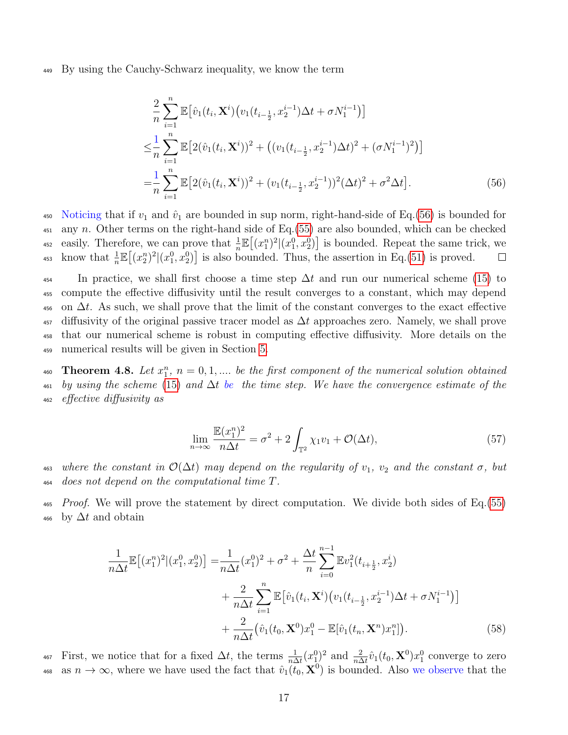<sup>449</sup> By using the Cauchy-Schwarz inequality, we know the term

<span id="page-16-1"></span>
$$
\frac{2}{n} \sum_{i=1}^{n} \mathbb{E} \big[ \hat{v}_1(t_i, \mathbf{X}^i) \big( v_1(t_{i-\frac{1}{2}}, x_2^{i-1}) \Delta t + \sigma N_1^{i-1} \big) \big] \n\leq \frac{1}{n} \sum_{i=1}^{n} \mathbb{E} \big[ 2(\hat{v}_1(t_i, \mathbf{X}^i))^2 + \big( (v_1(t_{i-\frac{1}{2}}, x_2^{i-1}) \Delta t)^2 + (\sigma N_1^{i-1})^2 \big) \big] \n= \frac{1}{n} \sum_{i=1}^{n} \mathbb{E} \big[ 2(\hat{v}_1(t_i, \mathbf{X}^i))^2 + (v_1(t_{i-\frac{1}{2}}, x_2^{i-1}))^2 (\Delta t)^2 + \sigma^2 \Delta t \big].
$$
\n(56)

450 Noticing that if  $v_1$  and  $\hat{v}_1$  are bounded in sup norm, right-hand-side of Eq.[\(56\)](#page-16-1) is bounded for  $451$  any n. Other terms on the right-hand side of Eq.[\(55\)](#page-15-0) are also bounded, which can be checked 452 easily. Therefore, we can prove that  $\frac{1}{n}\mathbb{E}[(x_1^n)^2|(x_1^0,x_2^0)]$  is bounded. Repeat the same trick, we 453 know that  $\frac{1}{n}\mathbb{E}[(x_2^n)^2|(x_1^0, x_2^0)]$  is also bounded. Thus, the assertion in Eq.[\(51\)](#page-14-5) is proved.  $\Box$ 

 $\frac{4}{454}$  In practice, we shall first choose a time step  $\Delta t$  and run our numerical scheme [\(15\)](#page-6-0) to compute the effective diffusivity until the result converges to a constant, which may depend 456 on  $\Delta t$ . As such, we shall prove that the limit of the constant converges to the exact effective diffusivity of the original passive tracer model as  $\Delta t$  approaches zero. Namely, we shall prove that our numerical scheme is robust in computing effective diffusivity. More details on the numerical results will be given in Section [5.](#page-19-0)

<span id="page-16-0"></span>460 **Theorem 4.8.** Let  $x_1^n$ ,  $n = 0, 1, ...$  be the first component of the numerical solution obtained  $\mu_{461}$  by using the scheme [\(15\)](#page-6-0) and  $\Delta t$  be the time step. We have the convergence estimate of the <sup>462</sup> effective diffusivity as

<span id="page-16-3"></span><span id="page-16-2"></span>
$$
\lim_{n \to \infty} \frac{\mathbb{E}(x_1^n)^2}{n\Delta t} = \sigma^2 + 2 \int_{\mathbb{T}^2} \chi_1 v_1 + \mathcal{O}(\Delta t),\tag{57}
$$

463 where the constant in  $\mathcal{O}(\Delta t)$  may depend on the regularity of  $v_1$ ,  $v_2$  and the constant  $\sigma$ , but <sup>464</sup> does not depend on the computational time T.

 $\mu_{\text{465}}$  Proof. We will prove the statement by direct computation. We divide both sides of Eq. [\(55\)](#page-15-0)  $_{466}$  by  $\Delta t$  and obtain

$$
\frac{1}{n\Delta t} \mathbb{E}[(x_1^n)^2 | (x_1^0, x_2^0)] = \frac{1}{n\Delta t} (x_1^0)^2 + \sigma^2 + \frac{\Delta t}{n} \sum_{i=0}^{n-1} \mathbb{E}v_1^2(t_{i+\frac{1}{2}}, x_2^i)
$$

$$
+ \frac{2}{n\Delta t} \sum_{i=1}^n \mathbb{E}[\hat{v}_1(t_i, \mathbf{X}^i) (v_1(t_{i-\frac{1}{2}}, x_2^{i-1})\Delta t + \sigma N_1^{i-1})]
$$

$$
+ \frac{2}{n\Delta t} (\hat{v}_1(t_0, \mathbf{X}^0) x_1^0 - \mathbb{E}[\hat{v}_1(t_n, \mathbf{X}^n) x_1^n]).
$$
(58)

<sup>467</sup> First, we notice that for a fixed  $\Delta t$ , the terms  $\frac{1}{n\Delta t}(x_1^0)^2$  and  $\frac{2}{n\Delta t}\hat{v}_1(t_0, \mathbf{X}^0)x_1^0$  converge to zero 468 as  $n \to \infty$ , where we have used the fact that  $\hat{v}_1(t_0, \mathbf{X}^0)$  is bounded. Also we observe that the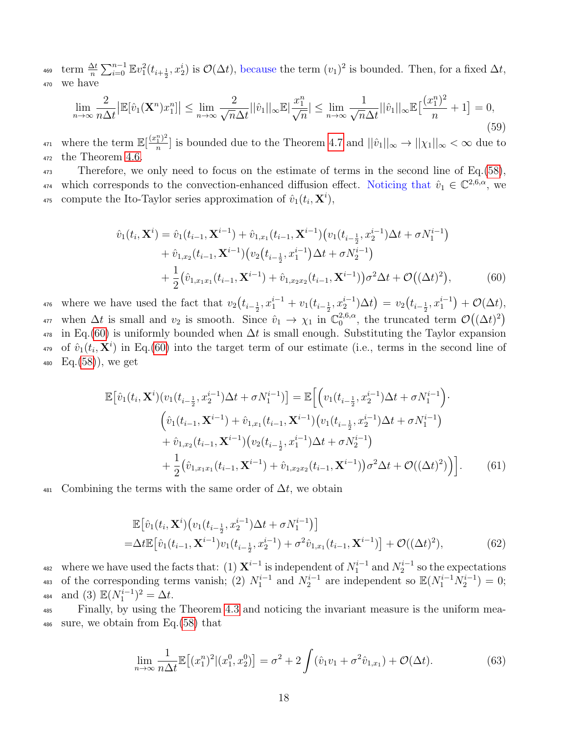<sup>469</sup> term  $\frac{\Delta t}{n} \sum_{i=0}^{n-1} \mathbb{E}v_1^2(t_{i+\frac{1}{2}}, x_2^i)$  is  $\mathcal{O}(\Delta t)$ , because the term  $(v_1)^2$  is bounded. Then, for a fixed  $\Delta t$ , <sup>470</sup> we have

$$
\lim_{n \to \infty} \frac{2}{n\Delta t} \left| \mathbb{E}[\hat{v}_1(\mathbf{X}^n) x_1^n] \right| \le \lim_{n \to \infty} \frac{2}{\sqrt{n}\Delta t} ||\hat{v}_1||_{\infty} \mathbb{E}|\frac{x_1^n}{\sqrt{n}}| \le \lim_{n \to \infty} \frac{1}{\sqrt{n}\Delta t} ||\hat{v}_1||_{\infty} \mathbb{E}\left[\frac{(x_1^n)^2}{n} + 1\right] = 0,
$$
\n(59)

where the term  $\mathbb{E}[\frac{(x_1^n)^2}{n}]$ <sup>471</sup> where the term  $\mathbb{E}[\frac{(x_1^{\omega})^2}{n}]$  is bounded due to the Theorem [4.7](#page-14-6) and  $||\hat{v}_1||_{\infty} \to ||\chi_1||_{\infty} < \infty$  due to <sup>472</sup> the Theorem [4.6.](#page-13-3)

<sup>473</sup> Therefore, we only need to focus on the estimate of terms in the second line of Eq.[\(58\)](#page-16-2), 474 which corresponds to the convection-enhanced diffusion effect. Noticing that  $\hat{v}_1 \in \mathbb{C}^{2,6,\alpha}$ , we <sup>475</sup> compute the Ito-Taylor series approximation of  $\hat{v}_1(t_i, \mathbf{X}^i)$ ,

<span id="page-17-0"></span>
$$
\hat{v}_1(t_i, \mathbf{X}^i) = \hat{v}_1(t_{i-1}, \mathbf{X}^{i-1}) + \hat{v}_{1,x_1}(t_{i-1}, \mathbf{X}^{i-1}) \left( v_1(t_{i-\frac{1}{2}}, x_2^{i-1}) \Delta t + \sigma N_1^{i-1} \right) + \hat{v}_{1,x_2}(t_{i-1}, \mathbf{X}^{i-1}) \left( v_2(t_{i-\frac{1}{2}}, x_1^{i-1}) \Delta t + \sigma N_2^{i-1} \right) + \frac{1}{2} \left( \hat{v}_{1,x_1x_1}(t_{i-1}, \mathbf{X}^{i-1}) + \hat{v}_{1,x_2x_2}(t_{i-1}, \mathbf{X}^{i-1}) \right) \sigma^2 \Delta t + \mathcal{O}\left( (\Delta t)^2 \right),
$$
\n(60)

476 where we have used the fact that  $v_2(t_{i-\frac{1}{2}}, x_1^{i-1} + v_1(t_{i-\frac{1}{2}}, x_2^{i-1})\Delta t) = v_2(t_{i-\frac{1}{2}}, x_1^{i-1}) + \mathcal{O}(\Delta t)$ , when  $\Delta t$  is small and  $v_2$  is smooth. Since  $\hat{v}_1 \rightarrow \chi_1$  in  $\mathbb{C}_0^{2,6,\alpha}$ , the truncated  $_{0}^{2,6,\alpha}$ , the truncated term  $\mathcal{O}((\Delta t)^2)$ 477  $_{478}$  in Eq.[\(60\)](#page-17-0) is uniformly bounded when  $\Delta t$  is small enough. Substituting the Taylor expansion <sup>479</sup> of  $\hat{v}_1(t_i, \mathbf{X}^i)$  in Eq.[\(60\)](#page-17-0) into the target term of our estimate (i.e., terms in the second line of  $_{480}$  Eq. $(58)$ , we get

$$
\mathbb{E}\big[\hat{v}_1(t_i, \mathbf{X}^i)(v_1(t_{i-\frac{1}{2}}, x_2^{i-1})\Delta t + \sigma N_1^{i-1})\big] = \mathbb{E}\bigg[\Big(v_1(t_{i-\frac{1}{2}}, x_2^{i-1})\Delta t + \sigma N_1^{i-1}\Big)\cdot\Big(\hat{v}_1(t_{i-1}, \mathbf{X}^{i-1}) + \hat{v}_{1,x_1}(t_{i-1}, \mathbf{X}^{i-1})(v_1(t_{i-\frac{1}{2}}, x_2^{i-1})\Delta t + \sigma N_1^{i-1})\Big) + \hat{v}_{1,x_2}(t_{i-1}, \mathbf{X}^{i-1})(v_2(t_{i-\frac{1}{2}}, x_1^{i-1})\Delta t + \sigma N_2^{i-1})\Big) + \frac{1}{2}(\hat{v}_{1,x_1x_1}(t_{i-1}, \mathbf{X}^{i-1}) + \hat{v}_{1,x_2x_2}(t_{i-1}, \mathbf{X}^{i-1}))\sigma^2\Delta t + \mathcal{O}((\Delta t)^2)\bigg)\bigg].
$$
\n(61)

 $\frac{481}{481}$  Combining the terms with the same order of  $\Delta t$ , we obtain

$$
\mathbb{E}[\hat{v}_1(t_i, \mathbf{X}^i) (v_1(t_{i-\frac{1}{2}}, x_2^{i-1}) \Delta t + \sigma N_1^{i-1})]
$$
  
=\Delta t \mathbb{E}[\hat{v}\_1(t\_{i-1}, \mathbf{X}^{i-1}) v\_1(t\_{i-\frac{1}{2}}, x\_2^{i-1}) + \sigma^2 \hat{v}\_{1,x\_1}(t\_{i-1}, \mathbf{X}^{i-1})] + \mathcal{O}((\Delta t)^2), \tag{62}

482 where we have used the facts that: (1)  $\mathbf{X}^{i-1}$  is independent of  $N_1^{i-1}$  and  $N_2^{i-1}$  so the expectations 483 of the corresponding terms vanish; (2)  $N_1^{i-1}$  and  $N_2^{i-1}$  are independent so  $\mathbb{E}(N_1^{i-1}N_2^{i-1})=0$ ; 484 and (3)  $\mathbb{E}(N_1^{i-1})^2 = \Delta t$ .

<sup>485</sup> Finally, by using the Theorem [4.3](#page-10-0) and noticing the invariant measure is the uniform mea-<sup>486</sup> sure, we obtain from Eq.[\(58\)](#page-16-2) that

$$
\lim_{n \to \infty} \frac{1}{n\Delta t} \mathbb{E}[(x_1^n)^2 | (x_1^0, x_2^0)] = \sigma^2 + 2 \int (\hat{v}_1 v_1 + \sigma^2 \hat{v}_{1,x_1}) + \mathcal{O}(\Delta t). \tag{63}
$$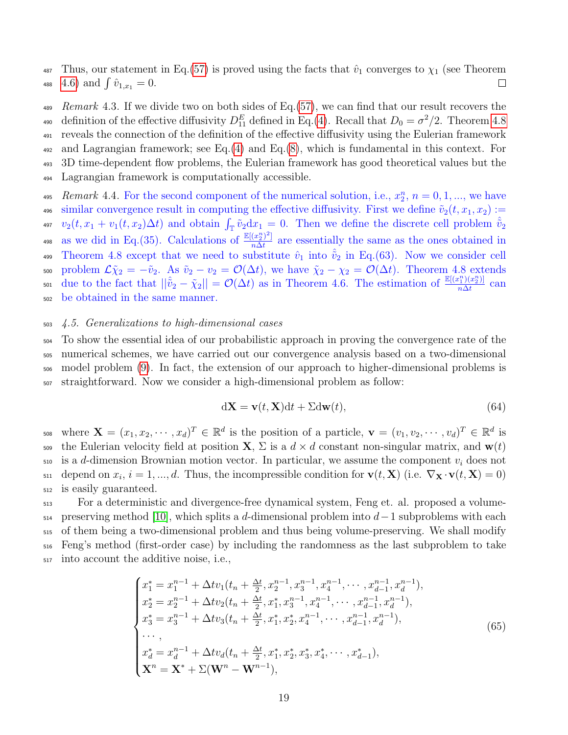487 Thus, our statement in Eq.[\(57\)](#page-16-3) is proved using the facts that  $\hat{v}_1$  converges to  $\chi_1$  (see Theorem 488 [4.6\)](#page-13-3) and  $\int \hat{v}_{1,x_1} = 0$ .  $\Box$ 

489 Remark 4.3. If we divide two on both sides of Eq. [\(57\)](#page-16-3), we can find that our result recovers the 490 definition of the effective diffusivity  $D_{11}^E$  defined in Eq.[\(4\)](#page-3-3). Recall that  $D_0 = \sigma^2/2$ . Theorem [4.8](#page-16-0) <sup>491</sup> reveals the connection of the definition of the effective diffusivity using the Eulerian framework  $_{492}$  and Lagrangian framework; see Eq.[\(4\)](#page-3-3) and Eq.[\(8\)](#page-4-1), which is fundamental in this context. For <sup>493</sup> 3D time-dependent flow problems, the Eulerian framework has good theoretical values but the <sup>494</sup> Lagrangian framework is computationally accessible.

495 Remark 4.4. For the second component of the numerical solution, i.e.,  $x_2^n$ ,  $n = 0, 1, ...,$  we have 496 similar convergence result in computing the effective diffusivity. First we define  $\tilde{v}_2(t, x_1, x_2) :=$ <sup>497</sup>  $v_2(t, x_1 + v_1(t, x_2) \Delta t)$  and obtain  $\int_{\mathbb{T}} \tilde{v}_2 d x_1 = 0$ . Then we define the discrete cell problem  $\hat{v}_2$ as we did in Eq.(35). Calculations of  $\frac{\mathbb{E}[(x_2^n)^2]}{n\Delta t}$ 498 as we did in Eq. (35). Calculations of  $\frac{\mathbb{E}[(x_2^2)^r]}{n\Delta t}$  are essentially the same as the ones obtained in 499 Theorem 4.8 except that we need to substitute  $\hat{v}_1$  into  $\hat{v}_2$  in Eq.(63). Now we consider cell 500 problem  $\mathcal{L}\tilde{\chi}_2 = -\tilde{v}_2$ . As  $\tilde{v}_2 - v_2 = \mathcal{O}(\Delta t)$ , we have  $\tilde{\chi}_2 - \chi_2 = \mathcal{O}(\Delta t)$ . Theorem 4.8 extends due to the fact that  $||\hat{v}_2 - \tilde{\chi}_2|| = \mathcal{O}(\Delta t)$  as in Theorem 4.6. The estimation of  $\frac{\mathbb{E}[(x_1^n)(x_2^n)]}{n\Delta t}$ 501 due to the fact that  $||\tilde{v}_2 - \tilde{\chi}_2|| = \mathcal{O}(\Delta t)$  as in Theorem 4.6. The estimation of  $\frac{\mathbb{E}[(x_1^T)(x_2^T)]}{n\Delta t}$  can <sup>502</sup> be obtained in the same manner.

## <span id="page-18-0"></span><sup>503</sup> 4.5. Generalizations to high-dimensional cases

 To show the essential idea of our probabilistic approach in proving the convergence rate of the numerical schemes, we have carried out our convergence analysis based on a two-dimensional model problem [\(9\)](#page-5-0). In fact, the extension of our approach to higher-dimensional problems is straightforward. Now we consider a high-dimensional problem as follow:

<span id="page-18-1"></span>
$$
dX = v(t, X)dt + \Sigma dw(t),
$$
\n(64)

508 where  $\mathbf{X} = (x_1, x_2, \cdots, x_d)^T \in \mathbb{R}^d$  is the position of a particle,  $\mathbf{v} = (v_1, v_2, \cdots, v_d)^T \in \mathbb{R}^d$  is 509 the Eulerian velocity field at position **X**,  $\Sigma$  is a  $d \times d$  constant non-singular matrix, and  $\mathbf{w}(t)$  $_{510}$  is a d-dimension Brownian motion vector. In particular, we assume the component  $v_i$  does not  $\mathbf{z}_{11}$  depend on  $x_i, i = 1, ..., d$ . Thus, the incompressible condition for  $\mathbf{v}(t, \mathbf{X})$  (i.e.  $\nabla_{\mathbf{X}} \cdot \mathbf{v}(t, \mathbf{X}) = 0$ ) <sup>512</sup> is easily guaranteed.

 For a deterministic and divergence-free dynamical system, Feng et. al. proposed a volume- $_{514}$  preserving method [\[10\]](#page-27-10), which splits a d-dimensional problem into  $d-1$  subproblems with each of them being a two-dimensional problem and thus being volume-preserving. We shall modify Feng's method (first-order case) by including the randomness as the last subproblem to take into account the additive noise, i.e.,

<span id="page-18-2"></span>
$$
\begin{cases}\nx_1^* = x_1^{n-1} + \Delta t v_1(t_n + \frac{\Delta t}{2}, x_2^{n-1}, x_3^{n-1}, x_4^{n-1}, \cdots, x_{d-1}^{n-1}, x_d^{n-1}), \\
x_2^* = x_2^{n-1} + \Delta t v_2(t_n + \frac{\Delta t}{2}, x_1^*, x_3^{n-1}, x_4^{n-1}, \cdots, x_{d-1}^{n-1}, x_d^{n-1}), \\
x_3^* = x_3^{n-1} + \Delta t v_3(t_n + \frac{\Delta t}{2}, x_1^*, x_2^*, x_4^{n-1}, \cdots, x_{d-1}^{n-1}, x_d^{n-1}), \\
\cdots, \\
x_d^* = x_d^{n-1} + \Delta t v_d(t_n + \frac{\Delta t}{2}, x_1^*, x_2^*, x_3^*, x_4^*, \cdots, x_{d-1}^*)), \\
\mathbf{X}^n = \mathbf{X}^* + \Sigma (\mathbf{W}^n - \mathbf{W}^{n-1}),\n\end{cases} \tag{65}
$$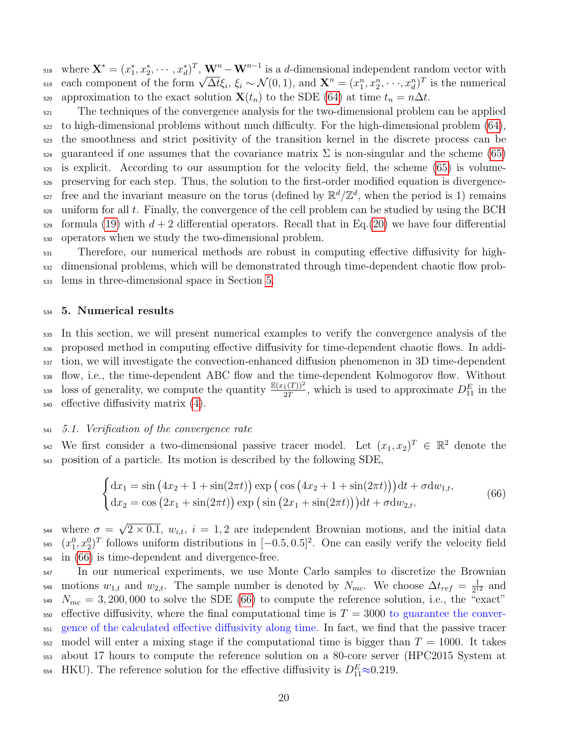$\mathbf{x}^* = (x_1^*, x_2^*, \cdots, x_d^*)^T$ ,  $\mathbf{W}^n - \mathbf{W}^{n-1}$  is a d-dimensional independent random vector with  $\mathbf{R}$  is a α-dimensional independent random vector with<br>
s<sub>19</sub> each component of the form  $\sqrt{\Delta t} \xi_i$ ,  $\xi_i \sim \mathcal{N}(0, 1)$ , and  $\mathbf{X}^n = (x_1^n, x_2^n, \dots, x_d^n)^T$  is the numerical 520 approximation to the exact solution  $\mathbf{X}(t_n)$  to the SDE [\(64\)](#page-18-1) at time  $t_n = n\Delta t$ .

<sup>521</sup> The techniques of the convergence analysis for the two-dimensional problem can be applied to high-dimensional problems without much difficulty. For the high-dimensional problem [\(64\)](#page-18-1), the smoothness and strict positivity of the transition kernel in the discrete process can be  $_{524}$  guaranteed if one assumes that the covariance matrix  $\Sigma$  is non-singular and the scheme [\(65\)](#page-18-2) is explicit. According to our assumption for the velocity field, the scheme [\(65\)](#page-18-2) is volume- preserving for each step. Thus, the solution to the first-order modified equation is divergence-<sup>527</sup> free and the invariant measure on the torus (defined by  $\mathbb{R}^d/\mathbb{Z}^d$ , when the period is 1) remains uniform for all t. Finally, the convergence of the cell problem can be studied by using the BCH formula [\(19\)](#page-7-1) with  $d + 2$  differential operators. Recall that in Eq.[\(20\)](#page-7-2) we have four differential operators when we study the two-dimensional problem.

 $531$  Therefore, our numerical methods are robust in computing effective diffusivity for high-<sup>532</sup> dimensional problems, which will be demonstrated through time-dependent chaotic flow prob-<sup>533</sup> lems in three-dimensional space in Section [5.](#page-19-0)

#### <span id="page-19-0"></span><sup>534</sup> 5. Numerical results

 In this section, we will present numerical examples to verify the convergence analysis of the proposed method in computing effective diffusivity for time-dependent chaotic flows. In addi- tion, we will investigate the convection-enhanced diffusion phenomenon in 3D time-dependent flow, i.e., the time-dependent ABC flow and the time-dependent Kolmogorov flow. Without  $\frac{\mathbb{E}(x_1(T))^2}{2T}$ , which is used to approximate  $D_{11}^E$  in the effective diffusivity matrix [\(4\)](#page-3-3).

## <span id="page-19-2"></span><sup>541</sup> 5.1. Verification of the convergence rate

542 We first consider a two-dimensional passive tracer model. Let  $(x_1, x_2)^T \in \mathbb{R}^2$  denote the <sup>543</sup> position of a particle. Its motion is described by the following SDE,

<span id="page-19-1"></span>
$$
\begin{cases}\ndx_1 = \sin(4x_2 + 1 + \sin(2\pi t))\exp(\cos(4x_2 + 1 + \sin(2\pi t)))dt + \sigma d w_{1,t}, \\
dx_2 = \cos(2x_1 + \sin(2\pi t))\exp(\sin(2x_1 + \sin(2\pi t)))dt + \sigma d w_{2,t},\n\end{cases}
$$
\n(66)

where  $\sigma =$ √ <sup>544</sup> where  $\sigma = \sqrt{2 \times 0.1}$ ,  $w_{i,t}$ ,  $i = 1, 2$  are independent Brownian motions, and the initial data  $(x_1^0, x_2^0)^T$  follows uniform distributions in  $[-0.5, 0.5]^2$ . One can easily verify the velocity field <sup>546</sup> in [\(66\)](#page-19-1) is time-dependent and divergence-free.

<sup>547</sup> In our numerical experiments, we use Monte Carlo samples to discretize the Brownian motions  $w_{1,t}$  and  $w_{2,t}$ . The sample number is denoted by  $N_{mc}$ . We choose  $\Delta t_{ref} = \frac{1}{21}$ <sup>548</sup> motions  $w_{1,t}$  and  $w_{2,t}$ . The sample number is denoted by  $N_{mc}$ . We choose  $\Delta t_{ref} = \frac{1}{2^{12}}$  and  $N_{mc} = 3,200,000$  to solve the SDE [\(66\)](#page-19-1) to compute the reference solution, i.e., the "exact"  $\epsilon_{550}$  effective diffusivity, where the final computational time is  $T = 3000$  to guarantee the conver-<sup>551</sup> gence of the calculated effective diffusivity along time. In fact, we find that the passive tracer  $552 \mod T$  model will enter a mixing stage if the computational time is bigger than  $T = 1000$ . It takes <sup>553</sup> about 17 hours to compute the reference solution on a 80-core server (HPC2015 System at 554 HKU). The reference solution for the effective diffusivity is  $D_{11}^E \approx 0.219$ .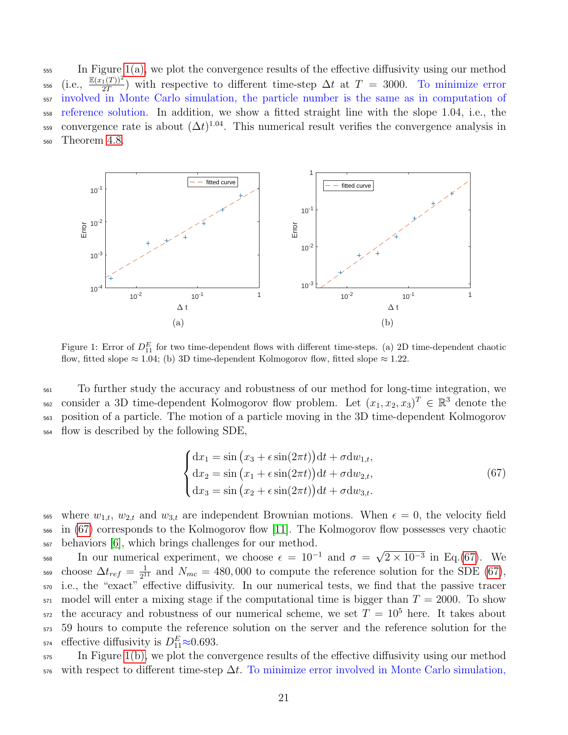<sup>555</sup> In Figure [1\(a\),](#page-20-0) we plot the convergence results of the effective diffusivity using our method 556 (i.e.,  $\frac{\mathbb{E}(x_1(T))^2}{2T}$ ) with respective to different time-step  $\Delta t$  at  $T = 3000$ . To minimize error <sub>557</sub> involved in Monte Carlo simulation, the particle number is the same as in computation of <sup>558</sup> reference solution. In addition, we show a fitted straight line with the slope 1.04, i.e., the 559 convergence rate is about  $(\Delta t)^{1.04}$ . This numerical result verifies the convergence analysis in <sup>560</sup> Theorem [4.8.](#page-16-0)

<span id="page-20-0"></span>

Figure 1: Error of  $D_{11}^E$  for two time-dependent flows with different time-steps. (a) 2D time-dependent chaotic flow, fitted slope  $\approx 1.04$ ; (b) 3D time-dependent Kolmogorov flow, fitted slope  $\approx 1.22$ .

 To further study the accuracy and robustness of our method for long-time integration, we 562 consider a 3D time-dependent Kolmogorov flow problem. Let  $(x_1, x_2, x_3)^T \in \mathbb{R}^3$  denote the position of a particle. The motion of a particle moving in the 3D time-dependent Kolmogorov flow is described by the following SDE,

<span id="page-20-2"></span><span id="page-20-1"></span>
$$
\begin{cases}\ndx_1 = \sin (x_3 + \epsilon \sin(2\pi t))dt + \sigma dw_{1,t}, \\
dx_2 = \sin (x_1 + \epsilon \sin(2\pi t))dt + \sigma dw_{2,t}, \\
dx_3 = \sin (x_2 + \epsilon \sin(2\pi t))dt + \sigma dw_{3,t}.\n\end{cases}
$$
\n(67)

bos where  $w_{1,t}$ ,  $w_{2,t}$  and  $w_{3,t}$  are independent Brownian motions. When  $\epsilon = 0$ , the velocity field <sup>566</sup> in [\(67\)](#page-20-1) corresponds to the Kolmogorov flow [\[11\]](#page-27-11). The Kolmogorov flow possesses very chaotic <sup>567</sup> behaviors [\[6\]](#page-27-12), which brings challenges for our method. √

In our numerical experiment, we choose  $\epsilon = 10^{-1}$  and  $\sigma =$ <sup>568</sup> In our numerical experiment, we choose  $\epsilon = 10^{-1}$  and  $\sigma = \sqrt{2 \times 10^{-3}}$  in Eq.[\(67\)](#page-20-1). We choose  $\Delta t_{ref} = \frac{1}{2^1}$  $2569$  choose  $\Delta t_{ref} = \frac{1}{2^{11}}$  and  $N_{mc} = 480,000$  to compute the reference solution for the SDE [\(67\)](#page-20-1), <sup>570</sup> i.e., the "exact" effective diffusivity. In our numerical tests, we find that the passive tracer  $571 \mod 2000$ . To show the stage if the computational time is bigger than  $T = 2000$ . To show  $\sigma$ <sub>572</sub> the accuracy and robustness of our numerical scheme, we set  $T = 10^5$  here. It takes about <sup>573</sup> 59 hours to compute the reference solution on the server and the reference solution for the <sup>574</sup> effective diffusivity is  $D_{11}^E \approx 0.693$ .

<sup>575</sup> In Figure [1\(b\),](#page-20-2) we plot the convergence results of the effective diffusivity using our method  $576$  with respect to different time-step  $\Delta t$ . To minimize error involved in Monte Carlo simulation,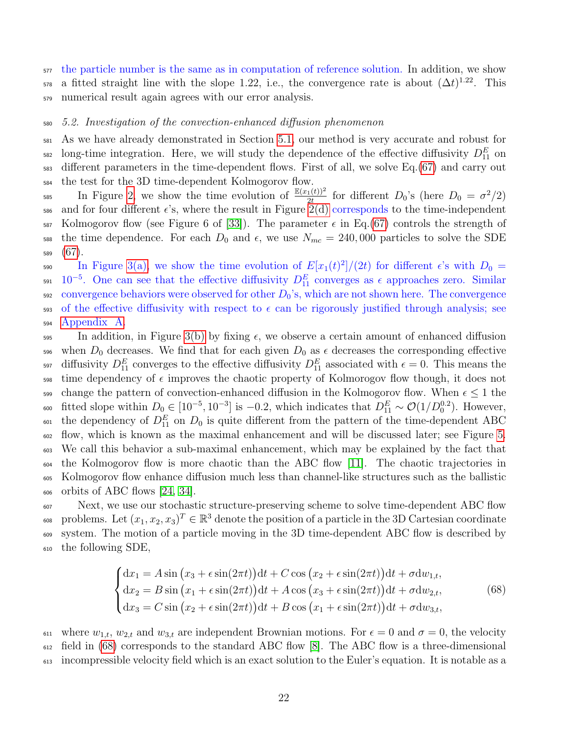$577$  the particle number is the same as in computation of reference solution. In addition, we show  $\sigma$  a fitted straight line with the slope 1.22, i.e., the convergence rate is about  $(\Delta t)^{1.22}$ . This <sup>579</sup> numerical result again agrees with our error analysis.

#### <sup>580</sup> 5.2. Investigation of the convection-enhanced diffusion phenomenon

 As we have already demonstrated in Section [5.1,](#page-19-2) our method is very accurate and robust for <sup>582</sup> long-time integration. Here, we will study the dependence of the effective diffusivity  $D_{11}^E$  on different parameters in the time-dependent flows. First of all, we solve Eq.[\(67\)](#page-20-1) and carry out the test for the 3D time-dependent Kolmogorov flow.

585 In Figure [2,](#page-22-0) we show the time evolution of  $\frac{\mathbb{E}(x_1(t))^2}{2t}$  for different  $D_0$ 's (here  $D_0 = \sigma^2/2$ ) 586 and for four different  $\epsilon$ 's, where the result in Figure [2\(d\)](#page-22-2) corresponds to the time-independent  $587$  Kolmogorov flow (see Figure 6 of [\[33\]](#page-29-1)). The parameter  $\epsilon$  in Eq.[\(67\)](#page-20-1) controls the strength of 588 the time dependence. For each  $D_0$  and  $\epsilon$ , we use  $N_{mc} = 240,000$  particles to solve the SDE <sup>589</sup> [\(67\)](#page-20-1).

590 In Figure [3\(a\),](#page-22-3) we show the time evolution of  $E[x_1(t)^2]/(2t)$  for different  $\epsilon$ 's with  $D_0 =$ <sup>591</sup>  $10^{-5}$ . One can see that the effective diffusivity  $D_{11}^E$  converges as  $\epsilon$  approaches zero. Similar  $592$  convergence behaviors were observed for other  $D_0$ 's, which are not shown here. The convergence 593 of the effective diffusivity with respect to  $\epsilon$  can be rigorously justified through analysis; see <sup>594</sup> [Appendix A.](#page-26-1)

595 In addition, in Figure [3\(b\)](#page-22-1) by fixing  $\epsilon$ , we observe a certain amount of enhanced diffusion 596 when  $D_0$  decreases. We find that for each given  $D_0$  as  $\epsilon$  decreases the corresponding effective <sup>597</sup> diffusivity  $D_{11}^E$  converges to the effective diffusivity  $D_{11}^E$  associated with  $\epsilon = 0$ . This means the  $\frac{1}{598}$  time dependency of  $\epsilon$  improves the chaotic property of Kolmorogov flow though, it does not sse change the pattern of convection-enhanced diffusion in the Kolmogorov flow. When  $\epsilon \leq 1$  the 600 fitted slope within  $D_0 \in [10^{-5}, 10^{-3}]$  is -0.2, which indicates that  $D_{11}^E \sim \mathcal{O}(1/D_0^{0.2})$ . However, <sup>601</sup> the dependency of  $D_{11}^E$  on  $D_0$  is quite different from the pattern of the time-dependent ABC <sup>602</sup> flow, which is known as the maximal enhancement and will be discussed later; see Figure [5.](#page-24-1) <sup>603</sup> We call this behavior a sub-maximal enhancement, which may be explained by the fact that  $\frac{604}{11}$  the Kolmogorov flow is more chaotic than the ABC flow [\[11\]](#page-27-11). The chaotic trajectories in <sup>605</sup> Kolmogorov flow enhance diffusion much less than channel-like structures such as the ballistic  $606$  orbits of ABC flows [\[24,](#page-28-4) [34\]](#page-29-2).

 Next, we use our stochastic structure-preserving scheme to solve time-dependent ABC flow <sup>608</sup> problems. Let  $(x_1, x_2, x_3)^T \in \mathbb{R}^3$  denote the position of a particle in the 3D Cartesian coordinate system. The motion of a particle moving in the 3D time-dependent ABC flow is described by the following SDE,

<span id="page-21-0"></span>
$$
\begin{cases}\ndx_1 = A\sin\left(x_3 + \epsilon\sin(2\pi t)\right)dt + C\cos\left(x_2 + \epsilon\sin(2\pi t)\right)dt + \sigma dw_{1,t}, \\
d x_2 = B\sin\left(x_1 + \epsilon\sin(2\pi t)\right)dt + A\cos\left(x_3 + \epsilon\sin(2\pi t)\right)dt + \sigma dw_{2,t}, \\
d x_3 = C\sin\left(x_2 + \epsilon\sin(2\pi t)\right)dt + B\cos\left(x_1 + \epsilon\sin(2\pi t)\right)dt + \sigma dw_{3,t},\n\end{cases} \tag{68}
$$

<sup>611</sup> where  $w_{1,t}$ ,  $w_{2,t}$  and  $w_{3,t}$  are independent Brownian motions. For  $\epsilon = 0$  and  $\sigma = 0$ , the velocity  $612$  field in [\(68\)](#page-21-0) corresponds to the standard ABC flow [\[8\]](#page-27-13). The ABC flow is a three-dimensional <sup>613</sup> incompressible velocity field which is an exact solution to the Euler's equation. It is notable as a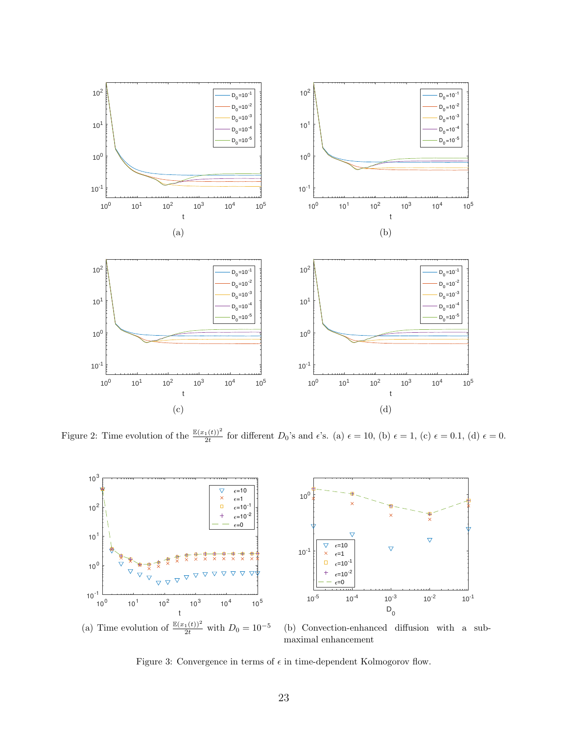<span id="page-22-0"></span>

Figure 2: Time evolution of the  $\frac{\mathbb{E}(x_1(t))^2}{2t}$  for different  $D_0$ 's and  $\epsilon$ 's. (a)  $\epsilon = 10$ , (b)  $\epsilon = 1$ , (c)  $\epsilon = 0.1$ , (d)  $\epsilon = 0$ .

<span id="page-22-3"></span><span id="page-22-2"></span>

<span id="page-22-1"></span>(b) Convection-enhanced diffusion with a submaximal enhancement

Figure 3: Convergence in terms of  $\epsilon$  in time-dependent Kolmogorov flow.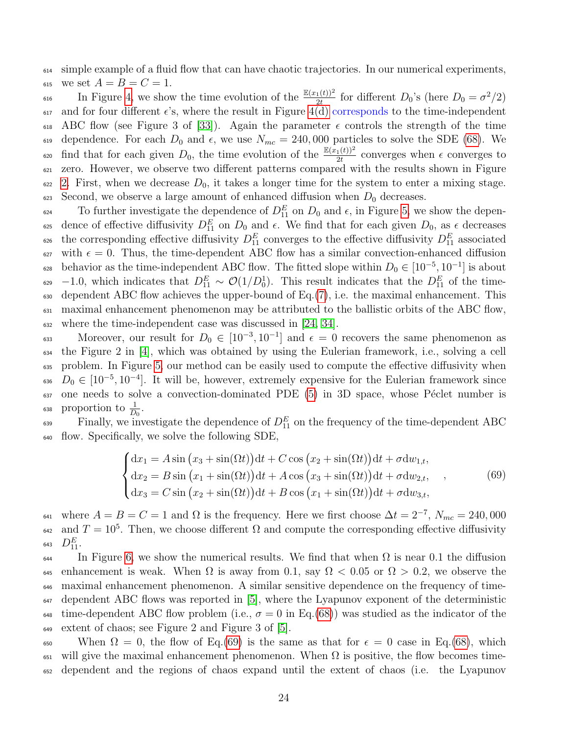$_{614}$  simple example of a fluid flow that can have chaotic trajectories. In our numerical experiments, 615 we set  $A = B = C = 1$ .

<sup>616</sup> In Figure [4,](#page-24-0) we show the time evolution of the  $\frac{\mathbb{E}(x_1(t))^2}{2t}$  for different  $D_0$ 's (here  $D_0 = \sigma^2/2$ ) 617 and for four different  $\epsilon$ 's, where the result in Figure [4\(d\)](#page-24-2) corresponds to the time-independent 618 ABC flow (see Figure 3 of [\[33\]](#page-29-1)). Again the parameter  $\epsilon$  controls the strength of the time 619 dependence. For each  $D_0$  and  $\epsilon$ , we use  $N_{mc} = 240,000$  particles to solve the SDE [\(68\)](#page-21-0). We  $\epsilon_{0}$  find that for each given  $D_0$ , the time evolution of the  $\frac{\mathbb{E}(x_1(t))^2}{2t}$  converges when  $\epsilon$  converges to <sup>621</sup> zero. However, we observe two different patterns compared with the results shown in Figure  $622$  [2.](#page-22-0) First, when we decrease  $D_0$ , it takes a longer time for the system to enter a mixing stage. 623 Second, we observe a large amount of enhanced diffusion when  $D_0$  decreases.

 $\epsilon_{624}$  To further investigate the dependence of  $D_{11}^E$  on  $D_0$  and  $\epsilon$ , in Figure [5,](#page-24-1) we show the depen- $\epsilon_{25}$  dence of effective diffusivity  $D_{11}^E$  on  $D_0$  and  $\epsilon$ . We find that for each given  $D_0$ , as  $\epsilon$  decreases <sup>626</sup> the corresponding effective diffusivity  $D_{11}^E$  converges to the effective diffusivity  $D_{11}^E$  associated 627 with  $\epsilon = 0$ . Thus, the time-dependent ABC flow has a similar convection-enhanced diffusion <sup>628</sup> behavior as the time-independent ABC flow. The fitted slope within  $D_0 \in [10^{-5}, 10^{-1}]$  is about  $\epsilon_{0.09}$  -1.0, which indicates that  $D_{11}^E \sim \mathcal{O}(1/D_0^1)$ . This result indicates that the  $D_{11}^E$  of the time- $\epsilon_{630}$  dependent ABC flow achieves the upper-bound of Eq.[\(7\)](#page-4-2), i.e. the maximal enhancement. This  $\epsilon_{31}$  maximal enhancement phenomenon may be attributed to the ballistic orbits of the ABC flow, <sup>632</sup> where the time-independent case was discussed in [\[24,](#page-28-4) [34\]](#page-29-2).

Moreover, our result for  $D_0 \in [10^{-3}, 10^{-1}]$  and  $\epsilon = 0$  recovers the same phenomenon as <sup>634</sup> the Figure 2 in [\[4\]](#page-27-5), which was obtained by using the Eulerian framework, i.e., solving a cell <sup>635</sup> problem. In Figure [5,](#page-24-1) our method can be easily used to compute the effective diffusivity when  $D_0 \in [10^{-5}, 10^{-4}]$ . It will be, however, extremely expensive for the Eulerian framework since  $637$  one needs to solve a convection-dominated PDE  $(5)$  in 3D space, whose Péclet number is 638 proportion to  $\frac{1}{D_0}$ .

 $\epsilon_{39}$  Finally, we investigate the dependence of  $D_{11}^E$  on the frequency of the time-dependent ABC <sup>640</sup> flow. Specifically, we solve the following SDE,

<span id="page-23-0"></span>
$$
\begin{cases}\ndx_1 = A\sin\left(x_3 + \sin(\Omega t)\right)dt + C\cos\left(x_2 + \sin(\Omega t)\right)dt + \sigma dw_{1,t}, \\
d x_2 = B\sin\left(x_1 + \sin(\Omega t)\right)dt + A\cos\left(x_3 + \sin(\Omega t)\right)dt + \sigma dw_{2,t}, \\
d x_3 = C\sin\left(x_2 + \sin(\Omega t)\right)dt + B\cos\left(x_1 + \sin(\Omega t)\right)dt + \sigma dw_{3,t},\n\end{cases} (69)
$$

<sup>641</sup> where  $A = B = C = 1$  and  $\Omega$  is the frequency. Here we first choose  $\Delta t = 2^{-7}$ ,  $N_{mc} = 240,000$  $\alpha$ <sub>42</sub> and  $T = 10^5$ . Then, we choose different Ω and compute the corresponding effective diffusivity 643  $D_{11}^E$ .

 In Figure [6,](#page-25-0) we show the numerical results. We find that when  $\Omega$  is near 0.1 the diffusion 645 enhancement is weak. When  $\Omega$  is away from 0.1, say  $\Omega$  < 0.05 or  $\Omega$  > 0.2, we observe the maximal enhancement phenomenon. A similar sensitive dependence on the frequency of time- dependent ABC flows was reported in [\[5\]](#page-27-14), where the Lyapunov exponent of the deterministic 648 time-dependent ABC flow problem (i.e.,  $\sigma = 0$  in Eq.[\(68\)](#page-21-0)) was studied as the indicator of the extent of chaos; see Figure 2 and Figure 3 of [\[5\]](#page-27-14).

650 When  $\Omega = 0$ , the flow of Eq.[\(69\)](#page-23-0) is the same as that for  $\epsilon = 0$  case in Eq.[\(68\)](#page-21-0), which 651 will give the maximal enhancement phenomenon. When  $\Omega$  is positive, the flow becomes time-<sup>652</sup> dependent and the regions of chaos expand until the extent of chaos (i.e. the Lyapunov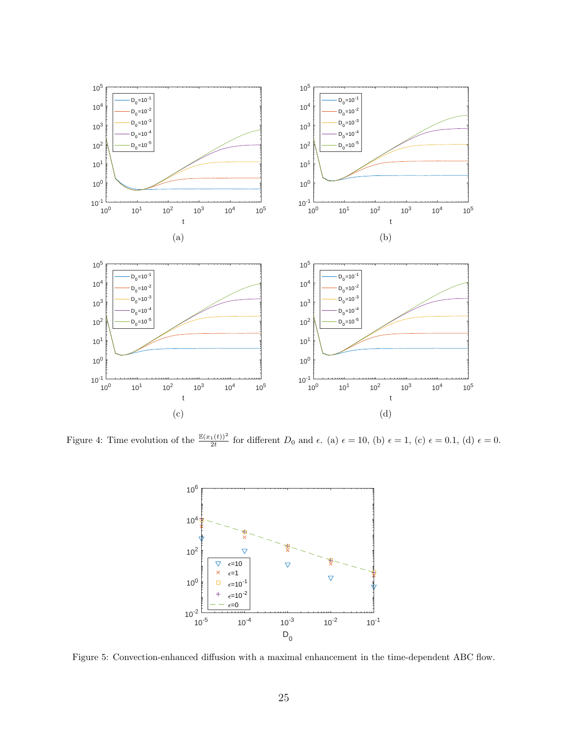<span id="page-24-0"></span>

<span id="page-24-1"></span>Figure 4: Time evolution of the  $\frac{\mathbb{E}(x_1(t))^2}{2t}$  for different  $D_0$  and  $\epsilon$ . (a)  $\epsilon = 10$ , (b)  $\epsilon = 1$ , (c)  $\epsilon = 0.1$ , (d)  $\epsilon = 0$ .

<span id="page-24-2"></span>

Figure 5: Convection-enhanced diffusion with a maximal enhancement in the time-dependent ABC flow.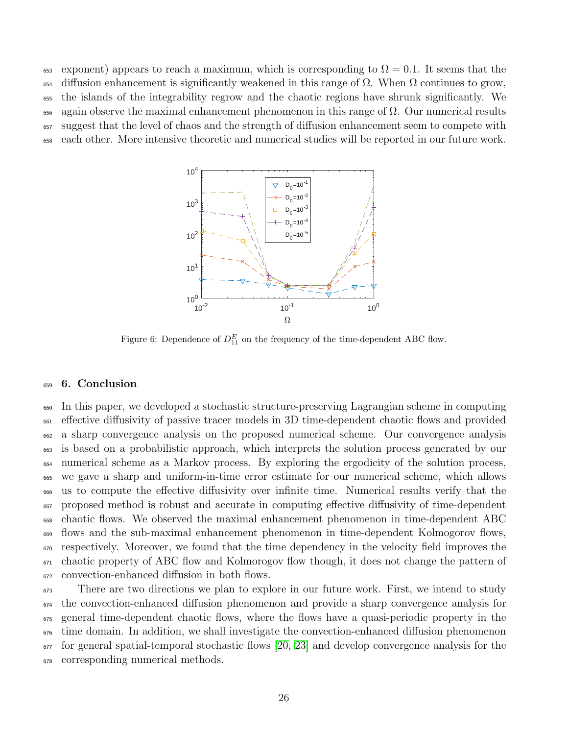<span id="page-25-0"></span>653 exponent) appears to reach a maximum, which is corresponding to  $\Omega = 0.1$ . It seems that the diffusion enhancement is significantly weakened in this range of Ω. When  $Ω$  continues to grow, the islands of the integrability regrow and the chaotic regions have shrunk significantly. We again observe the maximal enhancement phenomenon in this range of  $\Omega$ . Our numerical results suggest that the level of chaos and the strength of diffusion enhancement seem to compete with each other. More intensive theoretic and numerical studies will be reported in our future work.



Figure 6: Dependence of  $D_{11}^E$  on the frequency of the time-dependent ABC flow.

#### 6. Conclusion

 In this paper, we developed a stochastic structure-preserving Lagrangian scheme in computing effective diffusivity of passive tracer models in 3D time-dependent chaotic flows and provided a sharp convergence analysis on the proposed numerical scheme. Our convergence analysis is based on a probabilistic approach, which interprets the solution process generated by our numerical scheme as a Markov process. By exploring the ergodicity of the solution process, we gave a sharp and uniform-in-time error estimate for our numerical scheme, which allows us to compute the effective diffusivity over infinite time. Numerical results verify that the proposed method is robust and accurate in computing effective diffusivity of time-dependent chaotic flows. We observed the maximal enhancement phenomenon in time-dependent ABC flows and the sub-maximal enhancement phenomenon in time-dependent Kolmogorov flows,  $\epsilon_{670}$  respectively. Moreover, we found that the time dependency in the velocity field improves the  $\epsilon_{671}$  chaotic property of ABC flow and Kolmorogov flow though, it does not change the pattern of convection-enhanced diffusion in both flows.

 $\epsilon_{673}$  There are two directions we plan to explore in our future work. First, we intend to study the convection-enhanced diffusion phenomenon and provide a sharp convergence analysis for general time-dependent chaotic flows, where the flows have a quasi-periodic property in the time domain. In addition, we shall investigate the convection-enhanced diffusion phenomenon  $\epsilon_{677}$  for general spatial-temporal stochastic flows [\[20,](#page-28-14) [23\]](#page-28-0) and develop convergence analysis for the corresponding numerical methods.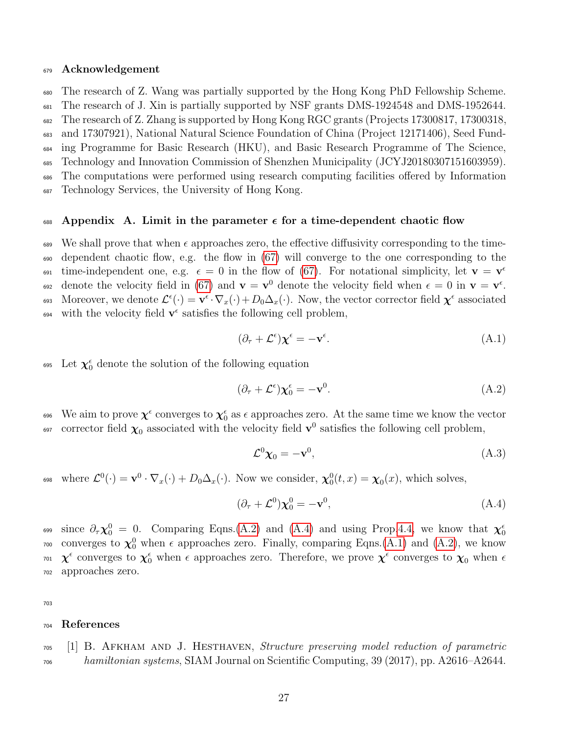#### <sup>679</sup> Acknowledgement

<sup>680</sup> The research of Z. Wang was partially supported by the Hong Kong PhD Fellowship Scheme.

<sup>681</sup> The research of J. Xin is partially supported by NSF grants DMS-1924548 and DMS-1952644.

<sup>682</sup> The research of Z. Zhang is supported by Hong Kong RGC grants (Projects 17300817, 17300318,

<sup>683</sup> and 17307921), National Natural Science Foundation of China (Project 12171406), Seed Fund-

<sup>684</sup> ing Programme for Basic Research (HKU), and Basic Research Programme of The Science,

<sup>685</sup> Technology and Innovation Commission of Shenzhen Municipality (JCYJ20180307151603959).

<sup>686</sup> The computations were performed using research computing facilities offered by Information

<sup>687</sup> Technology Services, the University of Hong Kong.

#### <span id="page-26-1"></span>688 Appendix A. Limit in the parameter  $\epsilon$  for a time-dependent chaotic flow

689 We shall prove that when  $\epsilon$  approaches zero, the effective diffusivity corresponding to the time-<sup>690</sup> dependent chaotic flow, e.g. the flow in [\(67\)](#page-20-1) will converge to the one corresponding to the time-independent one, e.g.  $\epsilon = 0$  in the flow of [\(67\)](#page-20-1). For notational simplicity, let  $\mathbf{v} = \mathbf{v}^{\epsilon}$ 691 692 denote the velocity field in [\(67\)](#page-20-1) and  $\mathbf{v} = \mathbf{v}^0$  denote the velocity field when  $\epsilon = 0$  in  $\mathbf{v} = \mathbf{v}^{\epsilon}$ . 693 Moreover, we denote  $\mathcal{L}^{\epsilon}(\cdot) = \mathbf{v}^{\epsilon} \cdot \nabla_x(\cdot) + D_0 \Delta_x(\cdot)$ . Now, the vector corrector field  $\boldsymbol{\chi}^{\epsilon}$  associated <sup>694</sup> with the velocity field  $\mathbf{v}^{\epsilon}$  satisfies the following cell problem,

<span id="page-26-4"></span><span id="page-26-2"></span>
$$
(\partial_{\tau} + \mathcal{L}^{\epsilon}) \chi^{\epsilon} = -\mathbf{v}^{\epsilon}.
$$
 (A.1)

<sup>695</sup> Let  $\chi_0^{\epsilon}$  denote the solution of the following equation

$$
(\partial_{\tau} + \mathcal{L}^{\epsilon}) \chi_0^{\epsilon} = -\mathbf{v}^0. \tag{A.2}
$$

696 We aim to prove  $\chi^\epsilon$  converges to  $\chi_0^\epsilon$  as  $\epsilon$  approaches zero. At the same time we know the vector <sup>697</sup> corrector field  $\chi_0$  associated with the velocity field  $\mathbf{v}^0$  satisfies the following cell problem,

<span id="page-26-3"></span>
$$
\mathcal{L}^0 \chi_0 = -\mathbf{v}^0, \tag{A.3}
$$

<sup>698</sup> where  $\mathcal{L}^0(\cdot) = \mathbf{v}^0 \cdot \nabla_x(\cdot) + D_0 \Delta_x(\cdot)$ . Now we consider,  $\chi_0^0(t, x) = \chi_0(x)$ , which solves,

$$
(\partial_{\tau} + \mathcal{L}^0)\chi_0^0 = -\mathbf{v}^0,\tag{A.4}
$$

since  $\partial_{\tau} \chi_0^0 = 0$ . Comparing Eqns.[\(A.2\)](#page-26-2) and [\(A.4\)](#page-26-3) and using Prop[.4.4,](#page-11-2) we know that  $\chi_0^{\epsilon}$ 699 <sup>700</sup> converges to  $\chi_0^0$  when  $\epsilon$  approaches zero. Finally, comparing Eqns.[\(A.1\)](#page-26-4) and [\(A.2\)](#page-26-2), we know <sup>701</sup>  $\chi^{\epsilon}$  converges to  $\chi^{\epsilon}_0$  when  $\epsilon$  approaches zero. Therefore, we prove  $\chi^{\epsilon}$  converges to  $\chi_0$  when  $\epsilon$ <sup>702</sup> approaches zero.

703

#### <sup>704</sup> References

<span id="page-26-0"></span> $_{705}$  [1] B. AFKHAM AND J. HESTHAVEN, Structure preserving model reduction of parametric  $h$ <sub>706</sub> hamiltonian systems, SIAM Journal on Scientific Computing, 39 (2017), pp. A2616–A2644.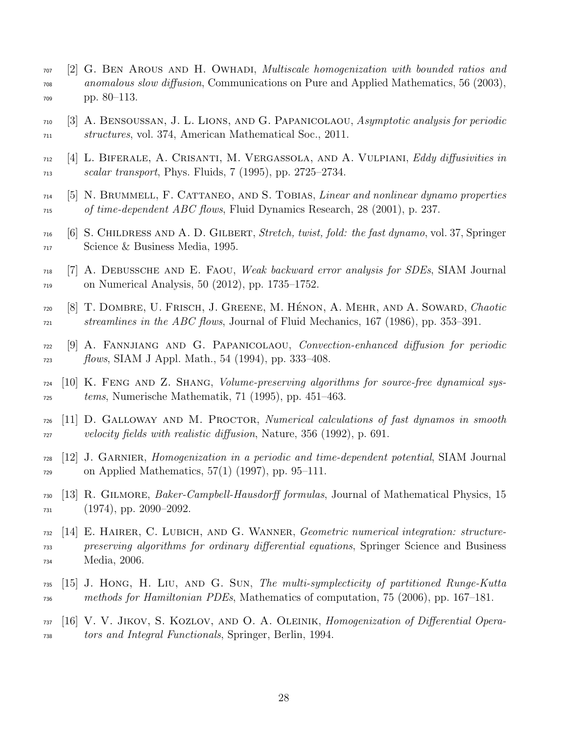- <span id="page-27-7"></span> [2] G. BEN AROUS AND H. OWHADI, *Multiscale homogenization with bounded ratios and*  anomalous slow diffusion, Communications on Pure and Applied Mathematics, 56 (2003), pp. 80–113.
- <span id="page-27-0"></span> [3] A. Bensoussan, J. L. Lions, and G. Papanicolaou, Asymptotic analysis for periodic structures, vol. 374, American Mathematical Soc., 2011.
- <span id="page-27-5"></span> [4] L. BIFERALE, A. CRISANTI, M. VERGASSOLA, AND A. VULPIANI, *Eddy diffusivities in*  $\alpha$ <sub>713</sub> scalar transport, Phys. Fluids, 7 (1995), pp. 2725–2734.
- <span id="page-27-14"></span> $_{714}$  [5] N. BRUMMELL, F. CATTANEO, AND S. TOBIAS, *Linear and nonlinear dynamo properties* of time-dependent ABC flows, Fluid Dynamics Research, 28 (2001), p. 237.
- <span id="page-27-12"></span> [6] S. Childress and A. D. Gilbert, Stretch, twist, fold: the fast dynamo, vol. 37, Springer Science & Business Media, 1995.
- <span id="page-27-9"></span> $_{718}$  [7] A. DEBUSSCHE AND E. FAOU, Weak backward error analysis for SDEs, SIAM Journal on Numerical Analysis, 50 (2012), pp. 1735–1752.
- <span id="page-27-13"></span> [8] T. DOMBRE, U. FRISCH, J. GREENE, M. HÉNON, A. MEHR, AND A. SOWARD, Chaotic  $H_{721}$  streamlines in the ABC flows, Journal of Fluid Mechanics, 167 (1986), pp. 353–391.
- <span id="page-27-6"></span> [9] A. Fannjiang and G. Papanicolaou, Convection-enhanced diffusion for periodic  $f_{723}$  flows, SIAM J Appl. Math., 54 (1994), pp. 333–408.
- <span id="page-27-10"></span> $_{724}$  [10] K. FENG AND Z. SHANG, *Volume-preserving algorithms for source-free dynamical sys* $tems$ , Numerische Mathematik, 71 (1995), pp. 451–463.
- <span id="page-27-11"></span> $_{726}$  [11] D. GALLOWAY AND M. PROCTOR, *Numerical calculations of fast dynamos in smooth* velocity fields with realistic diffusion, Nature, 356 (1992), p. 691.
- <span id="page-27-1"></span> [12] J. Garnier, Homogenization in a periodic and time-dependent potential, SIAM Journal on Applied Mathematics, 57(1) (1997), pp. 95–111.
- <span id="page-27-8"></span> $_{730}$  [13] R. GILMORE, *Baker-Campbell-Hausdorff formulas*, Journal of Mathematical Physics, 15 (1974), pp. 2090–2092.
- <span id="page-27-3"></span> [14] E. HAIRER, C. LUBICH, AND G. WANNER, Geometric numerical integration: structure- preserving algorithms for ordinary differential equations, Springer Science and Business Media, 2006.
- <span id="page-27-4"></span> [15] J. HONG, H. LIU, AND G. SUN, The multi-symplecticity of partitioned Runge-Kutta methods for Hamiltonian PDEs, Mathematics of computation, 75 (2006), pp. 167–181.
- <span id="page-27-2"></span> [16] V. V. JIKOV, S. KOZLOV, AND O. A. OLEINIK, Homogenization of Differential Opera-tors and Integral Functionals, Springer, Berlin, 1994.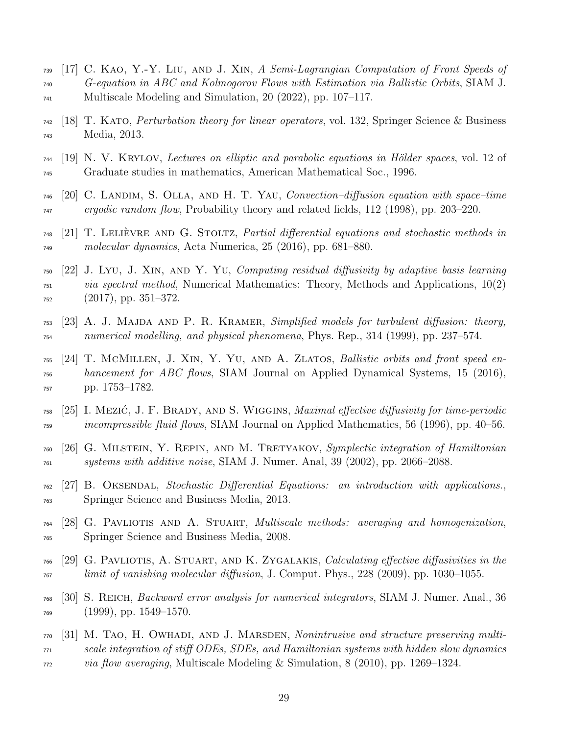- <span id="page-28-5"></span> [17] C. KAO, Y.-Y. LIU, AND J. XIN, A Semi-Lagrangian Computation of Front Speeds of G-equation in ABC and Kolmogorov Flows with Estimation via Ballistic Orbits, SIAM J. Multiscale Modeling and Simulation, 20 (2022), pp. 107–117.
- <span id="page-28-12"></span> [18] T. KATO, *Perturbation theory for linear operators*, vol. 132, Springer Science & Business Media, 2013.
- <span id="page-28-13"></span> $_{744}$  [19] N. V. KRYLOV, Lectures on elliptic and parabolic equations in Hölder spaces, vol. 12 of Graduate studies in mathematics, American Mathematical Soc., 1996.
- <span id="page-28-14"></span> $_{746}$  [20] C. LANDIM, S. OLLA, AND H. T. YAU, Convection–diffusion equation with space–time <sub>747</sub> ergodic random flow, Probability theory and related fields, 112 (1998), pp. 203–220.
- <span id="page-28-7"></span> $_{748}$  [21] T. LELIÈVRE AND G. STOLTZ, *Partial differential equations and stochastic methods in* molecular dynamics, Acta Numerica, 25 (2016), pp. 681–880.
- <span id="page-28-3"></span> [22] J. Lyu, J. XIN, AND Y. Yu, Computing residual diffusivity by adaptive basis learning  $\alpha_{151}$  via spectral method, Numerical Mathematics: Theory, Methods and Applications, 10(2) (2017), pp. 351–372.
- <span id="page-28-0"></span> [23] A. J. MAJDA AND P. R. KRAMER, Simplified models for turbulent diffusion: theory, numerical modelling, and physical phenomena, Phys. Rep., 314 (1999), pp. 237–574.
- <span id="page-28-4"></span> $_{755}$  [24] T. MCMILLEN, J. XIN, Y. YU, AND A. ZLATOS, Ballistic orbits and front speed en- hancement for ABC flows, SIAM Journal on Applied Dynamical Systems, 15 (2016), pp. 1753–1782.
- <span id="page-28-9"></span> $_{758}$  [25] I. Mezić, J. F. BRADY, AND S. WIGGINS, *Maximal effective diffusivity for time-periodic r*<sub>59</sub> *incompressible fluid flows*, SIAM Journal on Applied Mathematics, 56 (1996), pp. 40–56.
- <span id="page-28-10"></span> [26] G. Milstein, Y. Repin, and M. Tretyakov, Symplectic integration of Hamiltonian systems with additive noise, SIAM J. Numer. Anal, 39 (2002), pp. 2066–2088.
- <span id="page-28-8"></span> [27] B. OKSENDAL, Stochastic Differential Equations: an introduction with applications. Springer Science and Business Media, 2013.
- <span id="page-28-1"></span> [28] G. Pavliotis and A. Stuart, Multiscale methods: averaging and homogenization, Springer Science and Business Media, 2008.
- <span id="page-28-2"></span> $_{766}$  [29] G. PAVLIOTIS, A. STUART, AND K. ZYGALAKIS, *Calculating effective diffusivities in the*  $\frac{1}{767}$  limit of vanishing molecular diffusion, J. Comput. Phys., 228 (2009), pp. 1030–1055.
- <span id="page-28-11"></span> [30] S. Reich, Backward error analysis for numerical integrators, SIAM J. Numer. Anal., 36 (1999), pp. 1549–1570.
- <span id="page-28-6"></span> [31] M. TAO, H. OWHADI, AND J. MARSDEN, *Nonintrusive and structure preserving multi-* scale integration of stiff ODEs, SDEs, and Hamiltonian systems with hidden slow dynamics via flow averaging, Multiscale Modeling & Simulation, 8 (2010), pp. 1269–1324.